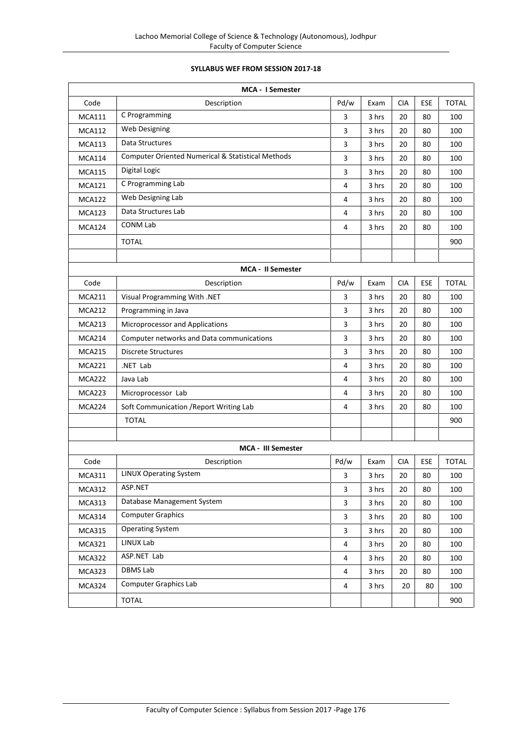## **SYLLABUS WEF FROM SESSION 2017-18**

|               | <b>MCA - I Semester</b>                                      |                         |       |            |     |              |
|---------------|--------------------------------------------------------------|-------------------------|-------|------------|-----|--------------|
| Code          | Description                                                  | Pd/w                    | Exam  | <b>CIA</b> | ESE | <b>TOTAL</b> |
| <b>MCA111</b> | C Programming                                                | 3                       | 3 hrs | 20         | 80  | 100          |
| <b>MCA112</b> | Web Designing                                                | 3                       | 3 hrs | 20         | 80  | 100          |
| <b>MCA113</b> | Data Structures                                              | 3                       | 3 hrs | 20         | 80  | 100          |
| <b>MCA114</b> | <b>Computer Oriented Numerical &amp; Statistical Methods</b> | 3                       | 3 hrs | 20         | 80  | 100          |
| <b>MCA115</b> | Digital Logic                                                | 3                       | 3 hrs | 20         | 80  | 100          |
| <b>MCA121</b> | C Programming Lab                                            | $\overline{4}$          | 3 hrs | 20         | 80  | 100          |
| <b>MCA122</b> | Web Designing Lab                                            | 4                       | 3 hrs | 20         | 80  | 100          |
| <b>MCA123</b> | Data Structures Lab                                          | 4                       | 3 hrs | 20         | 80  | 100          |
| <b>MCA124</b> | <b>CONM Lab</b>                                              | $\overline{4}$          | 3 hrs | 20         | 80  | 100          |
|               | <b>TOTAL</b>                                                 |                         |       |            |     | 900          |
|               | MCA - II Semester                                            |                         |       |            |     |              |
| Code          | Description                                                  | Pd/w                    | Exam  | <b>CIA</b> | ESE | <b>TOTAL</b> |
| <b>MCA211</b> | Visual Programming With .NET                                 | 3                       | 3 hrs | 20         | 80  | 100          |
| <b>MCA212</b> | Programming in Java                                          | 3                       | 3 hrs | 20         | 80  | 100          |
| <b>MCA213</b> | Microprocessor and Applications                              | 3                       | 3 hrs | 20         | 80  | 100          |
| <b>MCA214</b> | Computer networks and Data communications                    | 3                       | 3 hrs | 20         | 80  | 100          |
| <b>MCA215</b> | <b>Discrete Structures</b>                                   | 3                       | 3 hrs | 20         | 80  | 100          |
| <b>MCA221</b> | .NET Lab                                                     | $\overline{4}$          | 3 hrs | 20         | 80  | 100          |
| <b>MCA222</b> | Java Lab                                                     | 4                       | 3 hrs | 20         | 80  | 100          |
| <b>MCA223</b> | Microprocessor Lab                                           | 4                       | 3 hrs | 20         | 80  | 100          |
| <b>MCA224</b> | Soft Communication / Report Writing Lab                      | 4                       | 3 hrs | 20         | 80  | 100          |
|               | <b>TOTAL</b>                                                 |                         |       |            |     | 900          |
|               | <b>MCA - III Semester</b>                                    |                         |       |            |     |              |
| Code          | Description                                                  | Pd/w                    | Exam  | <b>CIA</b> | ESE | <b>TOTAL</b> |
| <b>MCA311</b> | <b>LINUX Operating System</b>                                | 3                       | 3 hrs | 20         | 80  | 100          |
| <b>MCA312</b> | ASP.NET                                                      | 3                       | 3 hrs | 20         | 80  | 100          |
| <b>MCA313</b> | Database Management System                                   | 3                       | 3 hrs | 20         | 80  | 100          |
| <b>MCA314</b> | <b>Computer Graphics</b>                                     | 3                       | 3 hrs | 20         | 80  | 100          |
| <b>MCA315</b> | <b>Operating System</b>                                      | 3                       | 3 hrs | 20         | 80  | 100          |
| <b>MCA321</b> | LINUX Lab                                                    | $\overline{\mathbf{4}}$ | 3 hrs | 20         | 80  | 100          |
| <b>MCA322</b> | ASP.NET Lab                                                  | 4                       | 3 hrs | 20         | 80  | 100          |
| <b>MCA323</b> | <b>DBMS Lab</b>                                              | $\overline{4}$          | 3 hrs | 20         | 80  | 100          |
| MCA324        | <b>Computer Graphics Lab</b>                                 | 4                       | 3 hrs | 20         | 80  | 100          |
|               | <b>TOTAL</b>                                                 |                         |       |            |     | 900          |
|               |                                                              |                         |       |            |     |              |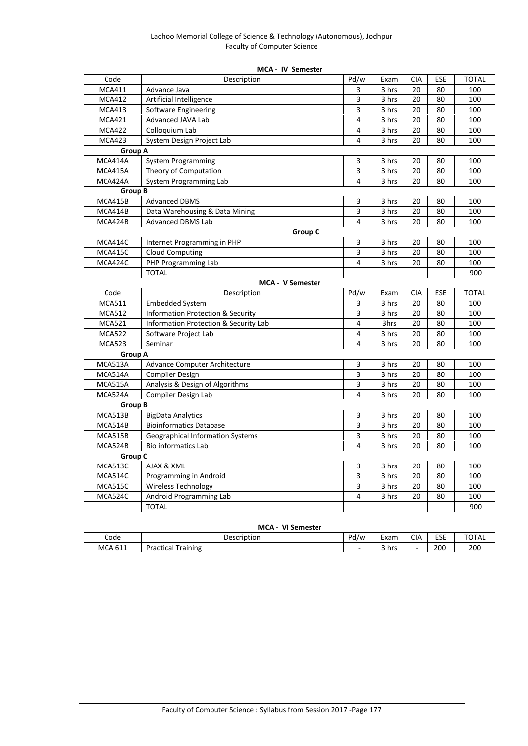|                | MCA - IV Semester                     |                |       |            |            |              |
|----------------|---------------------------------------|----------------|-------|------------|------------|--------------|
| Code           | Description                           | Pd/w           | Exam  | <b>CIA</b> | <b>ESE</b> | <b>TOTAL</b> |
| <b>MCA411</b>  | Advance Java                          | 3              | 3 hrs | 20         | 80         | 100          |
| <b>MCA412</b>  | Artificial Intelligence               | 3              | 3 hrs | 20         | 80         | 100          |
| <b>MCA413</b>  | Software Engineering                  | 3              | 3 hrs | 20         | 80         | 100          |
| <b>MCA421</b>  | Advanced JAVA Lab                     | 4              | 3 hrs | 20         | 80         | 100          |
| <b>MCA422</b>  | Colloquium Lab                        | 4              | 3 hrs | 20         | 80         | 100          |
| <b>MCA423</b>  | System Design Project Lab             | 4              | 3 hrs | 20         | 80         | 100          |
| Group A        |                                       |                |       |            |            |              |
| MCA414A        | <b>System Programming</b>             | 3              | 3 hrs | 20         | 80         | 100          |
| MCA415A        | Theory of Computation                 | 3              | 3 hrs | 20         | 80         | 100          |
| MCA424A        | System Programming Lab                | 4              | 3 hrs | 20         | 80         | 100          |
| Group B        |                                       |                |       |            |            |              |
| MCA415B        | <b>Advanced DBMS</b>                  | 3              | 3 hrs | 20         | 80         | 100          |
| MCA414B        | Data Warehousing & Data Mining        | 3              | 3 hrs | 20         | 80         | 100          |
| MCA424B        | <b>Advanced DBMS Lab</b>              | 4              | 3 hrs | 20         | 80         | 100          |
|                | Group C                               |                |       |            |            |              |
| MCA414C        | Internet Programming in PHP           | 3              | 3 hrs | 20         | 80         | 100          |
| MCA415C        | <b>Cloud Computing</b>                | 3              | 3 hrs | 20         | 80         | 100          |
| MCA424C        | PHP Programming Lab                   | 4              | 3 hrs | 20         | 80         | 100          |
|                | <b>TOTAL</b>                          |                |       |            |            | 900          |
|                | <b>MCA - V Semester</b>               |                |       |            |            |              |
| Code           | Description                           | Pd/w           | Exam  | <b>CIA</b> | <b>ESE</b> | <b>TOTAL</b> |
| <b>MCA511</b>  | <b>Embedded System</b>                | 3              | 3 hrs | 20         | 80         | 100          |
| <b>MCA512</b>  | Information Protection & Security     | 3              | 3 hrs | 20         | 80         | 100          |
| <b>MCA521</b>  | Information Protection & Security Lab | 4              | 3hrs  | 20         | 80         | 100          |
| <b>MCA522</b>  | Software Project Lab                  | 4              | 3 hrs | 20         | 80         | 100          |
| <b>MCA523</b>  | Seminar                               | $\overline{4}$ | 3 hrs | 20         | 80         | 100          |
| Group A        |                                       |                |       |            |            |              |
| MCA513A        | Advance Computer Architecture         | 3              | 3 hrs | 20         | 80         | 100          |
| MCA514A        | <b>Compiler Design</b>                | 3              | 3 hrs | 20         | 80         | 100          |
| MCA515A        | Analysis & Design of Algorithms       | 3              | 3 hrs | 20         | 80         | 100          |
| MCA524A        | Compiler Design Lab                   | 4              | 3 hrs | 20         | 80         | 100          |
| <b>Group B</b> |                                       |                |       |            |            |              |
| MCA513B        | <b>BigData Analytics</b>              | 3              | 3 hrs | 20         | 80         | 100          |
| MCA514B        | <b>Bioinformatics Database</b>        | 3              | 3 hrs | 20         | 80         | 100          |
| MCA515B        | Geographical Information Systems      | 3              | 3 hrs | 20         | 80         | 100          |
| MCA524B        | <b>Bio informatics Lab</b>            | 4              | 3 hrs | 20         | 80         | 100          |
| <b>Group C</b> |                                       |                |       |            |            |              |
| MCA513C        | AJAX & XML                            | 3              | 3 hrs | 20         | 80         | 100          |
| MCA514C        | Programming in Android                | 3              | 3 hrs | 20         | 80         | 100          |
| <b>MCA515C</b> | Wireless Technology                   | 3              | 3 hrs | 20         | 80         | 100          |
| MCA524C        | Android Programming Lab               | 4              | 3 hrs | 20         | 80         | 100          |
|                | <b>TOTAL</b>                          |                |       |            |            | 900          |

| <b>MCA</b><br>VI Semester |                        |                  |       |                          |            |              |  |  |
|---------------------------|------------------------|------------------|-------|--------------------------|------------|--------------|--|--|
| Code                      | Description            | <sup>D</sup> d/w | Exam  | <b>CIA</b>               | <b>ESE</b> | <b>TOTAL</b> |  |  |
| <b>MCA 611</b>            | 'Training<br>Practical | $\sim$           | २ hrs | $\overline{\phantom{a}}$ | 200        | 200          |  |  |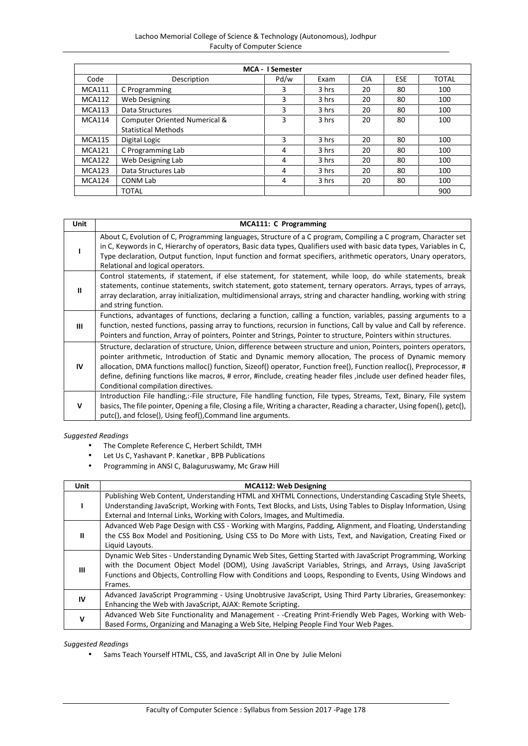| Lachoo Memorial College of Science & Technology (Autonomous), Jodhpur |  |
|-----------------------------------------------------------------------|--|
| <b>Faculty of Computer Science</b>                                    |  |

|               | <b>MCA - I Semester</b>       |      |       |            |     |       |  |  |  |
|---------------|-------------------------------|------|-------|------------|-----|-------|--|--|--|
| Code          | Description                   | Pd/w | Exam  | <b>CIA</b> | ESE | TOTAL |  |  |  |
| <b>MCA111</b> | C Programming                 | 3    | 3 hrs | 20         | 80  | 100   |  |  |  |
| <b>MCA112</b> | Web Designing                 | 3    | 3 hrs | 20         | 80  | 100   |  |  |  |
| <b>MCA113</b> | Data Structures               | 3    | 3 hrs | 20         | 80  | 100   |  |  |  |
| <b>MCA114</b> | Computer Oriented Numerical & | 3    | 3 hrs | 20         | 80  | 100   |  |  |  |
|               | <b>Statistical Methods</b>    |      |       |            |     |       |  |  |  |
| <b>MCA115</b> | Digital Logic                 | 3    | 3 hrs | 20         | 80  | 100   |  |  |  |
| <b>MCA121</b> | C Programming Lab             | 4    | 3 hrs | 20         | 80  | 100   |  |  |  |
| <b>MCA122</b> | Web Designing Lab             | 4    | 3 hrs | 20         | 80  | 100   |  |  |  |
| <b>MCA123</b> | Data Structures Lab           | 4    | 3 hrs | 20         | 80  | 100   |  |  |  |
| <b>MCA124</b> | <b>CONM Lab</b>               | 4    | 3 hrs | 20         | 80  | 100   |  |  |  |
|               | <b>TOTAL</b>                  |      |       |            |     | 900   |  |  |  |

| Unit | MCA111: C Programming                                                                                                                                                                                                                                                                                                                                                                                                                                                                                                |
|------|----------------------------------------------------------------------------------------------------------------------------------------------------------------------------------------------------------------------------------------------------------------------------------------------------------------------------------------------------------------------------------------------------------------------------------------------------------------------------------------------------------------------|
|      | About C, Evolution of C, Programming languages, Structure of a C program, Compiling a C program, Character set<br>in C, Keywords in C, Hierarchy of operators, Basic data types, Qualifiers used with basic data types, Variables in C,<br>Type declaration, Output function, Input function and format specifiers, arithmetic operators, Unary operators,<br>Relational and logical operators.                                                                                                                      |
| Ш    | Control statements, if statement, if else statement, for statement, while loop, do while statements, break<br>statements, continue statements, switch statement, goto statement, ternary operators. Arrays, types of arrays,<br>array declaration, array initialization, multidimensional arrays, string and character handling, working with string<br>and string function.                                                                                                                                         |
| Ш    | Functions, advantages of functions, declaring a function, calling a function, variables, passing arguments to a<br>function, nested functions, passing array to functions, recursion in functions, Call by value and Call by reference.<br>Pointers and function, Array of pointers, Pointer and Strings, Pointer to structure, Pointers within structures.                                                                                                                                                          |
| IV   | Structure, declaration of structure, Union, difference between structure and union, Pointers, pointers operators,<br>pointer arithmetic, Introduction of Static and Dynamic memory allocation, The process of Dynamic memory<br>allocation, DMA functions malloc() function, Sizeof() operator, Function free(), Function realloc(), Preprocessor, #<br>define, defining functions like macros, # error, #include, creating header files , include user defined header files,<br>Conditional compilation directives. |
| v    | Introduction File handling,:-File structure, File handling function, File types, Streams, Text, Binary, File system<br>basics, The file pointer, Opening a file, Closing a file, Writing a character, Reading a character, Using fopen(), getc(),<br>putc(), and fclose(), Using feof(), Command line arguments.                                                                                                                                                                                                     |

- The Complete Reference C, Herbert Schildt, TMH
- Let Us C, Yashavant P. Kanetkar, BPB Publications<br>• Programming in ANSI C. Balaguruswamy. Mc Graw
- Programming in ANSI C, Balaguruswamy, Mc Graw Hill

| <b>Unit</b> | <b>MCA112: Web Designing</b>                                                                                                                                                                  |
|-------------|-----------------------------------------------------------------------------------------------------------------------------------------------------------------------------------------------|
|             | Publishing Web Content, Understanding HTML and XHTML Connections, Understanding Cascading Style Sheets,                                                                                       |
|             | Understanding JavaScript, Working with Fonts, Text Blocks, and Lists, Using Tables to Display Information, Using<br>External and Internal Links, Working with Colors, Images, and Multimedia. |
|             | Advanced Web Page Design with CSS - Working with Margins, Padding, Alignment, and Floating, Understanding                                                                                     |
| Ш           | the CSS Box Model and Positioning, Using CSS to Do More with Lists, Text, and Navigation, Creating Fixed or                                                                                   |
|             | Liquid Layouts.                                                                                                                                                                               |
|             | Dynamic Web Sites - Understanding Dynamic Web Sites, Getting Started with JavaScript Programming, Working                                                                                     |
| Ш           | with the Document Object Model (DOM), Using JavaScript Variables, Strings, and Arrays, Using JavaScript                                                                                       |
|             | Functions and Objects, Controlling Flow with Conditions and Loops, Responding to Events, Using Windows and                                                                                    |
|             | Frames.                                                                                                                                                                                       |
| IV          | Advanced JavaScript Programming - Using Unobtrusive JavaScript, Using Third Party Libraries, Greasemonkey:                                                                                    |
|             | Enhancing the Web with JavaScript, AJAX: Remote Scripting.                                                                                                                                    |
|             | Advanced Web Site Functionality and Management - -Creating Print-Friendly Web Pages, Working with Web-                                                                                        |
| $\mathbf v$ | Based Forms, Organizing and Managing a Web Site, Helping People Find Your Web Pages.                                                                                                          |

## *Suggested Readings*

Sams Teach Yourself HTML, CSS, and JavaScript All in One by Julie Meloni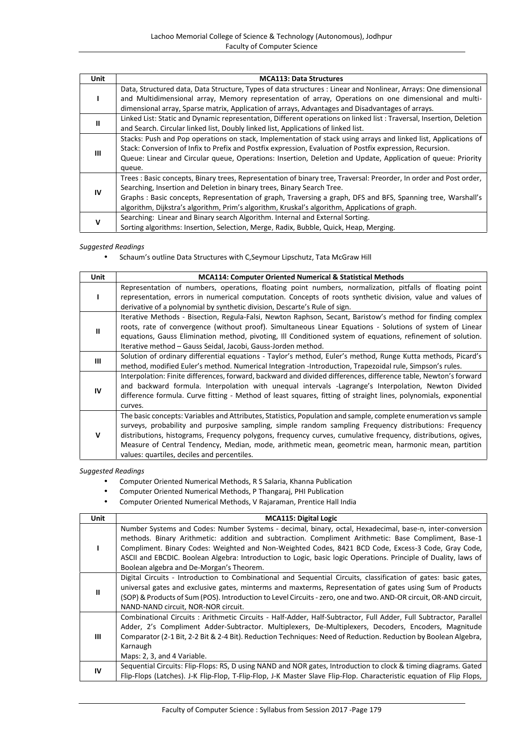| Unit      | <b>MCA113: Data Structures</b>                                                                                      |
|-----------|---------------------------------------------------------------------------------------------------------------------|
|           | Data, Structured data, Data Structure, Types of data structures : Linear and Nonlinear, Arrays: One dimensional     |
|           | and Multidimensional array, Memory representation of array, Operations on one dimensional and multi-                |
|           | dimensional array, Sparse matrix, Application of arrays, Advantages and Disadvantages of arrays.                    |
|           | Linked List: Static and Dynamic representation, Different operations on linked list: Traversal, Insertion, Deletion |
| Ш         | and Search. Circular linked list, Doubly linked list, Applications of linked list.                                  |
|           | Stacks: Push and Pop operations on stack, Implementation of stack using arrays and linked list, Applications of     |
|           | Stack: Conversion of Infix to Prefix and Postfix expression, Evaluation of Postfix expression, Recursion.           |
| Ш         | Queue: Linear and Circular queue, Operations: Insertion, Deletion and Update, Application of queue: Priority        |
|           | queue.                                                                                                              |
|           | Trees: Basic concepts, Binary trees, Representation of binary tree, Traversal: Preorder, In order and Post order,   |
|           | Searching, Insertion and Deletion in binary trees, Binary Search Tree.                                              |
| <b>IV</b> | Graphs: Basic concepts, Representation of graph, Traversing a graph, DFS and BFS, Spanning tree, Warshall's         |
|           | algorithm, Dijkstra's algorithm, Prim's algorithm, Kruskal's algorithm, Applications of graph.                      |
|           | Searching: Linear and Binary search Algorithm. Internal and External Sorting.                                       |
| v         | Sorting algorithms: Insertion, Selection, Merge, Radix, Bubble, Quick, Heap, Merging.                               |

Schaum's outline Data Structures with C,Seymour Lipschutz, Tata McGraw Hill

| Unit | <b>MCA114: Computer Oriented Numerical &amp; Statistical Methods</b>                                                                                                                                                                                                                                                                                                                                                                                                                              |
|------|---------------------------------------------------------------------------------------------------------------------------------------------------------------------------------------------------------------------------------------------------------------------------------------------------------------------------------------------------------------------------------------------------------------------------------------------------------------------------------------------------|
|      | Representation of numbers, operations, floating point numbers, normalization, pitfalls of floating point<br>representation, errors in numerical computation. Concepts of roots synthetic division, value and values of<br>derivative of a polynomial by synthetic division, Descarte's Rule of sign.                                                                                                                                                                                              |
| ш    | Iterative Methods - Bisection, Regula-Falsi, Newton Raphson, Secant, Baristow's method for finding complex<br>roots, rate of convergence (without proof). Simultaneous Linear Equations - Solutions of system of Linear<br>equations, Gauss Elimination method, pivoting, Ill Conditioned system of equations, refinement of solution.<br>Iterative method - Gauss Seidal, Jacobi, Gauss-Jorden method.                                                                                           |
| Ш    | Solution of ordinary differential equations - Taylor's method, Euler's method, Runge Kutta methods, Picard's<br>method, modified Euler's method. Numerical Integration -Introduction, Trapezoidal rule, Simpson's rules.                                                                                                                                                                                                                                                                          |
| IV   | Interpolation: Finite differences, forward, backward and divided differences, difference table, Newton's forward<br>and backward formula. Interpolation with unequal intervals -Lagrange's Interpolation, Newton Divided<br>difference formula. Curve fitting - Method of least squares, fitting of straight lines, polynomials, exponential<br>curves.                                                                                                                                           |
| v    | The basic concepts: Variables and Attributes, Statistics, Population and sample, complete enumeration vs sample<br>surveys, probability and purposive sampling, simple random sampling Frequency distributions: Frequency<br>distributions, histograms, Frequency polygons, frequency curves, cumulative frequency, distributions, ogives,<br>Measure of Central Tendency, Median, mode, arithmetic mean, geometric mean, harmonic mean, partition<br>values: quartiles, deciles and percentiles. |

- Computer Oriented Numerical Methods, R S Salaria, Khanna Publication
- Computer Oriented Numerical Methods, P Thangaraj, PHI Publication
- Computer Oriented Numerical Methods, V Rajaraman, Prentice Hall India

| Unit         | <b>MCA115: Digital Logic</b>                                                                                                                                                                                                                                                                                                                                                                                                                                                           |
|--------------|----------------------------------------------------------------------------------------------------------------------------------------------------------------------------------------------------------------------------------------------------------------------------------------------------------------------------------------------------------------------------------------------------------------------------------------------------------------------------------------|
|              | Number Systems and Codes: Number Systems - decimal, binary, octal, Hexadecimal, base-n, inter-conversion<br>methods. Binary Arithmetic: addition and subtraction. Compliment Arithmetic: Base Compliment, Base-1<br>Compliment. Binary Codes: Weighted and Non-Weighted Codes, 8421 BCD Code, Excess-3 Code, Gray Code,<br>ASCII and EBCDIC. Boolean Algebra: Introduction to Logic, basic logic Operations. Principle of Duality, laws of<br>Boolean algebra and De-Morgan's Theorem. |
| $\mathbf{u}$ | Digital Circuits - Introduction to Combinational and Sequential Circuits, classification of gates: basic gates,<br>universal gates and exclusive gates, minterms and maxterms, Representation of gates using Sum of Products<br>(SOP) & Products of Sum (POS). Introduction to Level Circuits - zero, one and two. AND-OR circuit, OR-AND circuit,<br>NAND-NAND circuit, NOR-NOR circuit.                                                                                              |
| $\mathbf{m}$ | Combinational Circuits: Arithmetic Circuits - Half-Adder, Half-Subtractor, Full Adder, Full Subtractor, Parallel<br>Adder, 2's Compliment Adder-Subtractor. Multiplexers, De-Multiplexers, Decoders, Encoders, Magnitude<br>Comparator (2-1 Bit, 2-2 Bit & 2-4 Bit). Reduction Techniques: Need of Reduction. Reduction by Boolean Algebra,<br>Karnaugh<br>Maps: 2, 3, and 4 Variable.                                                                                                 |
| IV           | Sequential Circuits: Flip-Flops: RS, D using NAND and NOR gates, Introduction to clock & timing diagrams. Gated<br>Flip-Flops (Latches). J-K Flip-Flop, T-Flip-Flop, J-K Master Slave Flip-Flop. Characteristic equation of Flip Flops,                                                                                                                                                                                                                                                |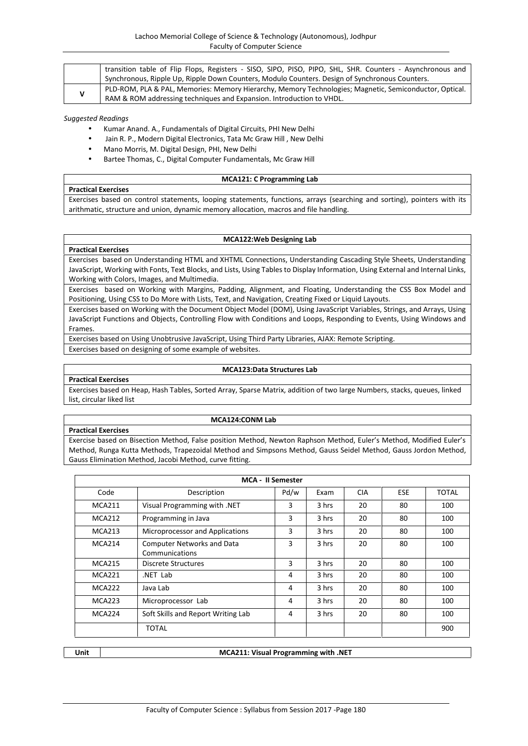|  | transition table of Flip Flops, Registers - SISO, SIPO, PISO, PIPO, SHL, SHR. Counters - Asynchronous and |  |  |  |  |
|--|-----------------------------------------------------------------------------------------------------------|--|--|--|--|
|  | Synchronous, Ripple Up, Ripple Down Counters, Modulo Counters. Design of Synchronous Counters.            |  |  |  |  |
|  | PLD-ROM, PLA & PAL, Memories: Memory Hierarchy, Memory Technologies; Magnetic, Semiconductor, Optical.    |  |  |  |  |
|  | RAM & ROM addressing techniques and Expansion. Introduction to VHDL.                                      |  |  |  |  |

- Kumar Anand. A., Fundamentals of Digital Circuits, PHI New Delhi
- Jain R. P., Modern Digital Electronics, Tata Mc Graw Hill , New Delhi
- Mano Morris, M. Digital Design, PHI, New Delhi
- Bartee Thomas, C., Digital Computer Fundamentals, Mc Graw Hill

## **MCA121: C Programming Lab**

**Practical Exercises** Exercises based on control statements, looping statements, functions, arrays (searching and sorting), pointers with its arithmatic, structure and union, dynamic memory allocation, macros and file handling.

#### **MCA122:Web Designing Lab**

Exercises based on Understanding HTML and XHTML Connections, Understanding Cascading Style Sheets, Understanding JavaScript, Working with Fonts, Text Blocks, and Lists, Using Tables to Display Information, Using External and Internal Links, Working with Colors, Images, and Multimedia.

Exercises based on Working with Margins, Padding, Alignment, and Floating, Understanding the CSS Box Model and Positioning, Using CSS to Do More with Lists, Text, and Navigation, Creating Fixed or Liquid Layouts.

Exercises based on Working with the Document Object Model (DOM), Using JavaScript Variables, Strings, and Arrays, Using JavaScript Functions and Objects, Controlling Flow with Conditions and Loops, Responding to Events, Using Windows and Frames.

Exercises based on Using Unobtrusive JavaScript, Using Third Party Libraries, AJAX: Remote Scripting. Exercises based on designing of some example of websites.

#### **MCA123:Data Structures Lab**

## **Practical Exercises**

**Practical Exercises**

Exercises based on Heap, Hash Tables, Sorted Array, Sparse Matrix, addition of two large Numbers, stacks, queues, linked list, circular liked list

## **Practical Exercises**

#### **MCA124:CONM Lab**

Exercise based on Bisection Method, False position Method, Newton Raphson Method, Euler's Method, Modified Euler's Method, Runga Kutta Methods, Trapezoidal Method and Simpsons Method, Gauss Seidel Method, Gauss Jordon Method, Gauss Elimination Method, Jacobi Method, curve fitting.

| <b>MCA - II Semester</b> |                                                     |      |       |            |            |              |  |
|--------------------------|-----------------------------------------------------|------|-------|------------|------------|--------------|--|
| Code                     | Description                                         | Pd/w | Exam  | <b>CIA</b> | <b>ESE</b> | <b>TOTAL</b> |  |
| <b>MCA211</b>            | Visual Programming with .NET                        | 3    | 3 hrs | 20         | 80         | 100          |  |
| <b>MCA212</b>            | Programming in Java                                 | 3    | 3 hrs | 20         | 80         | 100          |  |
| <b>MCA213</b>            | Microprocessor and Applications                     | 3    | 3 hrs | 20         | 80         | 100          |  |
| <b>MCA214</b>            | <b>Computer Networks and Data</b><br>Communications | 3    | 3 hrs | 20         | 80         | 100          |  |
| <b>MCA215</b>            | Discrete Structures                                 | 3    | 3 hrs | 20         | 80         | 100          |  |
| <b>MCA221</b>            | NET Lab.                                            | 4    | 3 hrs | 20         | 80         | 100          |  |
| <b>MCA222</b>            | Java Lab                                            | 4    | 3 hrs | 20         | 80         | 100          |  |
| MCA223                   | Microprocessor Lab                                  | 4    | 3 hrs | 20         | 80         | 100          |  |
| MCA224                   | Soft Skills and Report Writing Lab                  | 4    | 3 hrs | 20         | 80         | 100          |  |
|                          | <b>TOTAL</b>                                        |      |       |            |            | 900          |  |

| ۰.<br>w<br>v<br>۰, |  |
|--------------------|--|

## **Unit MCA211: Visual Programming with .NET**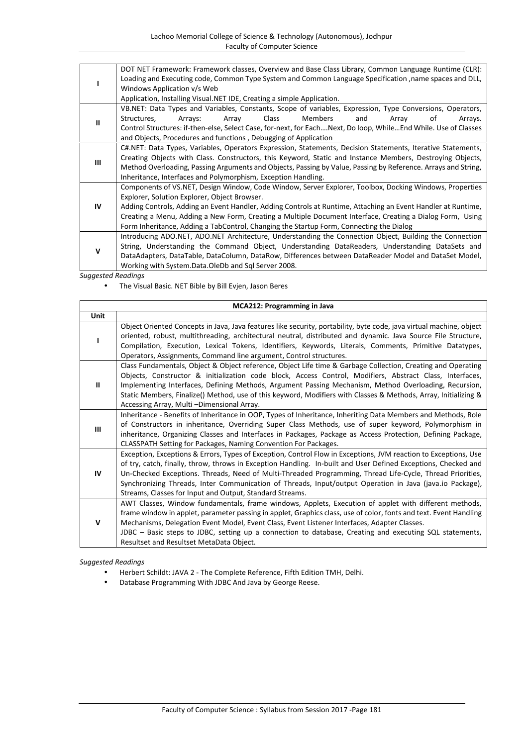|    | DOT NET Framework: Framework classes, Overview and Base Class Library, Common Language Runtime (CLR):<br>Loading and Executing code, Common Type System and Common Language Specification , name spaces and DLL,<br>Windows Application v/s Web<br>Application, Installing Visual.NET IDE, Creating a simple Application.                                                                                                                                                       |  |  |
|----|---------------------------------------------------------------------------------------------------------------------------------------------------------------------------------------------------------------------------------------------------------------------------------------------------------------------------------------------------------------------------------------------------------------------------------------------------------------------------------|--|--|
| Ш  | VB.NET: Data Types and Variables, Constants, Scope of variables, Expression, Type Conversions, Operators,<br><b>Members</b><br><b>Class</b><br>Structures,<br>Arrays:<br>Array<br>and<br>οf<br>Array<br>Arrays.<br>Control Structures: if-then-else, Select Case, for-next, for EachNext, Do loop, WhileEnd While. Use of Classes<br>and Objects, Procedures and functions, Debugging of Application                                                                            |  |  |
| Ш  | C#.NET: Data Types, Variables, Operators Expression, Statements, Decision Statements, Iterative Statements,<br>Creating Objects with Class. Constructors, this Keyword, Static and Instance Members, Destroying Objects,<br>Method Overloading, Passing Arguments and Objects, Passing by Value, Passing by Reference. Arrays and String,<br>Inheritance, Interfaces and Polymorphism, Exception Handling.                                                                      |  |  |
| IV | Components of VS.NET, Design Window, Code Window, Server Explorer, Toolbox, Docking Windows, Properties<br>Explorer, Solution Explorer, Object Browser.<br>Adding Controls, Adding an Event Handler, Adding Controls at Runtime, Attaching an Event Handler at Runtime,<br>Creating a Menu, Adding a New Form, Creating a Multiple Document Interface, Creating a Dialog Form, Using<br>Form Inheritance, Adding a TabControl, Changing the Startup Form, Connecting the Dialog |  |  |
| v  | Introducing ADO.NET, ADO.NET Architecture, Understanding the Connection Object, Building the Connection<br>String, Understanding the Command Object, Understanding DataReaders, Understanding DataSets and<br>DataAdapters, DataTable, DataColumn, DataRow, Differences between DataReader Model and DataSet Model,<br>Working with System.Data.OleDb and Sql Server 2008.                                                                                                      |  |  |

The Visual Basic. NET Bible by Bill Evjen, Jason Beres

| <b>MCA212: Programming in Java</b> |                                                                                                                                                                                                                                                                                                                                                                                                                                                                                                                        |
|------------------------------------|------------------------------------------------------------------------------------------------------------------------------------------------------------------------------------------------------------------------------------------------------------------------------------------------------------------------------------------------------------------------------------------------------------------------------------------------------------------------------------------------------------------------|
| <b>Unit</b>                        |                                                                                                                                                                                                                                                                                                                                                                                                                                                                                                                        |
|                                    | Object Oriented Concepts in Java, Java features like security, portability, byte code, java virtual machine, object<br>oriented, robust, multithreading, architectural neutral, distributed and dynamic. Java Source File Structure,<br>Compilation, Execution, Lexical Tokens, Identifiers, Keywords, Literals, Comments, Primitive Datatypes,<br>Operators, Assignments, Command line argument, Control structures.                                                                                                  |
| $\mathbf{u}$                       | Class Fundamentals, Object & Object reference, Object Life time & Garbage Collection, Creating and Operating<br>Objects, Constructor & initialization code block, Access Control, Modifiers, Abstract Class, Interfaces,<br>Implementing Interfaces, Defining Methods, Argument Passing Mechanism, Method Overloading, Recursion,<br>Static Members, Finalize() Method, use of this keyword, Modifiers with Classes & Methods, Array, Initializing &<br>Accessing Array, Multi-Dimensional Array.                      |
| Ш                                  | Inheritance - Benefits of Inheritance in OOP, Types of Inheritance, Inheriting Data Members and Methods, Role<br>of Constructors in inheritance, Overriding Super Class Methods, use of super keyword, Polymorphism in<br>inheritance, Organizing Classes and Interfaces in Packages, Package as Access Protection, Defining Package,<br>CLASSPATH Setting for Packages, Naming Convention For Packages.                                                                                                               |
| IV                                 | Exception, Exceptions & Errors, Types of Exception, Control Flow in Exceptions, JVM reaction to Exceptions, Use<br>of try, catch, finally, throw, throws in Exception Handling. In-built and User Defined Exceptions, Checked and<br>Un-Checked Exceptions. Threads, Need of Multi-Threaded Programming, Thread Life-Cycle, Thread Priorities,<br>Synchronizing Threads, Inter Communication of Threads, Input/output Operation in Java (java.io Package),<br>Streams, Classes for Input and Output, Standard Streams. |
| v                                  | AWT Classes, Window fundamentals, frame windows, Applets, Execution of applet with different methods,<br>frame window in applet, parameter passing in applet, Graphics class, use of color, fonts and text. Event Handling<br>Mechanisms, Delegation Event Model, Event Class, Event Listener Interfaces, Adapter Classes.<br>JDBC - Basic steps to JDBC, setting up a connection to database, Creating and executing SQL statements,<br>Resultset and Resultset MetaData Object.                                      |

- Herbert Schildt: JAVA 2 The Complete Reference, Fifth Edition TMH, Delhi.
- Database Programming With JDBC And Java by George Reese.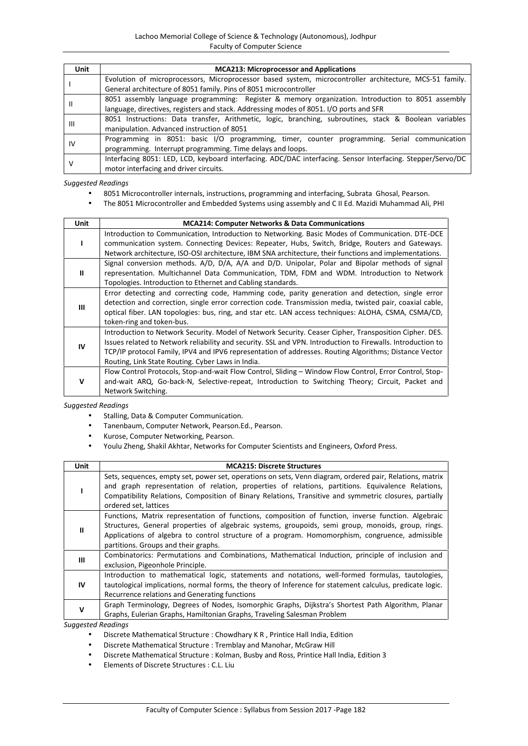| Unit           | <b>MCA213: Microprocessor and Applications</b>                                                              |
|----------------|-------------------------------------------------------------------------------------------------------------|
|                | Evolution of microprocessors, Microprocessor based system, microcontroller architecture, MCS-51 family.     |
|                | General architecture of 8051 family. Pins of 8051 microcontroller                                           |
| Ш              | 8051 assembly language programming: Register & memory organization. Introduction to 8051 assembly           |
|                | language, directives, registers and stack. Addressing modes of 8051. I/O ports and SFR                      |
| $\mathsf{III}$ | 8051 Instructions: Data transfer, Arithmetic, logic, branching, subroutines, stack & Boolean variables      |
|                | manipulation. Advanced instruction of 8051                                                                  |
| IV             | Programming in 8051: basic I/O programming, timer, counter programming. Serial communication                |
|                | programming. Interrupt programming. Time delays and loops.                                                  |
|                | Interfacing 8051: LED, LCD, keyboard interfacing. ADC/DAC interfacing. Sensor Interfacing. Stepper/Servo/DC |
|                | motor interfacing and driver circuits.                                                                      |

- 8051 Microcontroller internals, instructions, programming and interfacing, Subrata Ghosal, Pearson.
- The 8051 Microcontroller and Embedded Systems using assembly and C II Ed. Mazidi Muhammad Ali, PHI

| <b>Unit</b> | <b>MCA214: Computer Networks &amp; Data Communications</b>                                                                                                                                                                                                                                                                                                                           |
|-------------|--------------------------------------------------------------------------------------------------------------------------------------------------------------------------------------------------------------------------------------------------------------------------------------------------------------------------------------------------------------------------------------|
|             | Introduction to Communication, Introduction to Networking. Basic Modes of Communication. DTE-DCE<br>communication system. Connecting Devices: Repeater, Hubs, Switch, Bridge, Routers and Gateways.                                                                                                                                                                                  |
|             | Network architecture, ISO-OSI architecture, IBM SNA architecture, their functions and implementations.                                                                                                                                                                                                                                                                               |
| ш           | Signal conversion methods. A/D, D/A, A/A and D/D. Unipolar, Polar and Bipolar methods of signal<br>representation. Multichannel Data Communication, TDM, FDM and WDM. Introduction to Network<br>Topologies. Introduction to Ethernet and Cabling standards.                                                                                                                         |
| ш           | Error detecting and correcting code, Hamming code, parity generation and detection, single error<br>detection and correction, single error correction code. Transmission media, twisted pair, coaxial cable,<br>optical fiber. LAN topologies: bus, ring, and star etc. LAN access techniques: ALOHA, CSMA, CSMA/CD,<br>token-ring and token-bus.                                    |
| IV          | Introduction to Network Security. Model of Network Security. Ceaser Cipher, Transposition Cipher. DES.<br>Issues related to Network reliability and security. SSL and VPN. Introduction to Firewalls. Introduction to<br>TCP/IP protocol Family, IPV4 and IPV6 representation of addresses. Routing Algorithms; Distance Vector<br>Routing, Link State Routing. Cyber Laws in India. |
| v           | Flow Control Protocols, Stop-and-wait Flow Control, Sliding - Window Flow Control, Error Control, Stop-<br>and-wait ARQ, Go-back-N, Selective-repeat, Introduction to Switching Theory; Circuit, Packet and<br>Network Switching.                                                                                                                                                    |

## *Suggested Readings*

- **•** Stalling, Data & Computer Communication.
- Tanenbaum, Computer Network, Pearson.Ed., Pearson.
- Kurose, Computer Networking, Pearson.
- Youlu Zheng, Shakil Akhtar, Networks for Computer Scientists and Engineers, Oxford Press.

| <b>Unit</b>  | <b>MCA215: Discrete Structures</b>                                                                                                                                                                                                                                                                                                                   |
|--------------|------------------------------------------------------------------------------------------------------------------------------------------------------------------------------------------------------------------------------------------------------------------------------------------------------------------------------------------------------|
|              | Sets, sequences, empty set, power set, operations on sets, Venn diagram, ordered pair, Relations, matrix<br>and graph representation of relation, properties of relations, partitions. Equivalence Relations,<br>Compatibility Relations, Composition of Binary Relations, Transitive and symmetric closures, partially<br>ordered set, lattices     |
| $\mathbf{u}$ | Functions, Matrix representation of functions, composition of function, inverse function. Algebraic<br>Structures, General properties of algebraic systems, groupoids, semi group, monoids, group, rings.<br>Applications of algebra to control structure of a program. Homomorphism, congruence, admissible<br>partitions. Groups and their graphs. |
| Ш            | Combinatorics: Permutations and Combinations, Mathematical Induction, principle of inclusion and<br>exclusion, Pigeonhole Principle.                                                                                                                                                                                                                 |
| IV           | Introduction to mathematical logic, statements and notations, well-formed formulas, tautologies,<br>tautological implications, normal forms, the theory of Inference for statement calculus, predicate logic.<br>Recurrence relations and Generating functions                                                                                       |
| v            | Graph Terminology, Degrees of Nodes, Isomorphic Graphs, Dijkstra's Shortest Path Algorithm, Planar<br>Graphs, Eulerian Graphs, Hamiltonian Graphs, Traveling Salesman Problem                                                                                                                                                                        |

- Discrete Mathematical Structure : Chowdhary K R , Printice Hall India, Edition
- Discrete Mathematical Structure : Tremblay and Manohar, McGraw Hill
- Discrete Mathematical Structure : Kolman, Busby and Ross, Printice Hall India, Edition 3
- Elements of Discrete Structures : C.L. Liu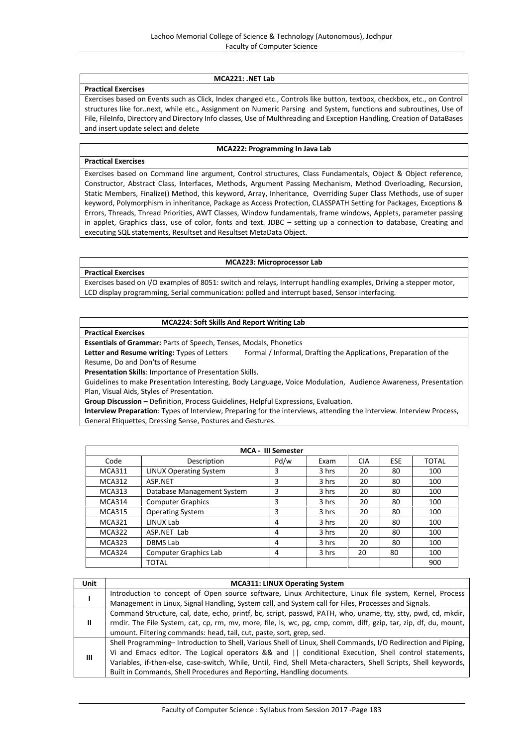## **MCA221: .NET Lab**

#### **Practical Exercises**

Exercises based on Events such as Click, Index changed etc., Controls like button, textbox, checkbox, etc., on Control structures like for..next, while etc., Assignment on Numeric Parsing and System, functions and subroutines, Use of File, FileInfo, Directory and Directory Info classes, Use of Multhreading and Exception Handling, Creation of DataBases and insert update select and delete

## **MCA222: Programming In Java Lab**

**Practical Exercises**

Exercises based on Command line argument, Control structures, Class Fundamentals, Object & Object reference, Constructor, Abstract Class, Interfaces, Methods, Argument Passing Mechanism, Method Overloading, Recursion, Static Members, Finalize() Method, this keyword, Array, Inheritance, Overriding Super Class Methods, use of super keyword, Polymorphism in inheritance, Package as Access Protection, CLASSPATH Setting for Packages, Exceptions & Errors, Threads, Thread Priorities, AWT Classes, Window fundamentals, frame windows, Applets, parameter passing in applet, Graphics class, use of color, fonts and text. JDBC – setting up a connection to database, Creating and executing SQL statements, Resultset and Resultset MetaData Object.

#### **MCA223: Microprocessor Lab**

**Practical Exercises**

Exercises based on I/O examples of 8051: switch and relays, Interrupt handling examples, Driving a stepper motor, LCD display programming, Serial communication: polled and interrupt based, Sensor interfacing.

#### **MCA224: Soft Skills And Report Writing Lab**

**Practical Exercises**

**Essentials of Grammar:** Parts of Speech, Tenses, Modals, Phonetics

Letter and Resume writing: Types of Letters Formal / Informal, Drafting the Applications, Preparation of the Resume, Do and Don'ts of Resume

**Presentation Skills**: Importance of Presentation Skills.

Guidelines to make Presentation Interesting, Body Language, Voice Modulation, Audience Awareness, Presentation Plan, Visual Aids, Styles of Presentation.

**Group Discussion –** Definition, Process Guidelines, Helpful Expressions, Evaluation.

**Interview Preparation**: Types of Interview, Preparing for the interviews, attending the Interview. Interview Process, General Etiquettes, Dressing Sense, Postures and Gestures.

|               |                              | <b>MCA - III Semester</b> |       |            |            |              |
|---------------|------------------------------|---------------------------|-------|------------|------------|--------------|
| Code          | Description                  | Pd/w                      | Exam  | <b>CIA</b> | <b>ESE</b> | <b>TOTAL</b> |
| <b>MCA311</b> | LINUX Operating System       | 3                         | 3 hrs | 20         | 80         | 100          |
| <b>MCA312</b> | ASP.NET                      | 3                         | 3 hrs | 20         | 80         | 100          |
| MCA313        | Database Management System   | 3                         | 3 hrs | 20         | 80         | 100          |
| <b>MCA314</b> | <b>Computer Graphics</b>     | 3                         | 3 hrs | 20         | 80         | 100          |
| MCA315        | <b>Operating System</b>      | 3                         | 3 hrs | 20         | 80         | 100          |
| <b>MCA321</b> | LINUX Lab                    | 4                         | 3 hrs | 20         | 80         | 100          |
| <b>MCA322</b> | ASP.NET Lab                  | 4                         | 3 hrs | 20         | 80         | 100          |
| MCA323        | DBMS Lab                     | 4                         | 3 hrs | 20         | 80         | 100          |
| MCA324        | <b>Computer Graphics Lab</b> | 4                         | 3 hrs | 20         | 80         | 100          |
|               | <b>TOTAL</b>                 |                           |       |            |            | 900          |

| Unit | <b>MCA311: LINUX Operating System</b>                                                                            |  |  |  |  |
|------|------------------------------------------------------------------------------------------------------------------|--|--|--|--|
|      | Introduction to concept of Open source software, Linux Architecture, Linux file system, Kernel, Process          |  |  |  |  |
|      | Management in Linux, Signal Handling, System call, and System call for Files, Processes and Signals.             |  |  |  |  |
| Ш.   | Command Structure, cal, date, echo, printf, bc, script, passwd, PATH, who, uname, tty, stty, pwd, cd, mkdir,     |  |  |  |  |
|      | rmdir. The File System, cat, cp, rm, mv, more, file, ls, wc, pg, cmp, comm, diff, gzip, tar, zip, df, du, mount, |  |  |  |  |
|      | umount. Filtering commands: head, tail, cut, paste, sort, grep, sed.                                             |  |  |  |  |
| Ш    | Shell Programming-Introduction to Shell, Various Shell of Linux, Shell Commands, I/O Redirection and Piping,     |  |  |  |  |
|      | Vi and Emacs editor. The Logical operators && and    conditional Execution, Shell control statements,            |  |  |  |  |
|      | Variables, if-then-else, case-switch, While, Until, Find, Shell Meta-characters, Shell Scripts, Shell keywords,  |  |  |  |  |
|      | Built in Commands, Shell Procedures and Reporting, Handling documents.                                           |  |  |  |  |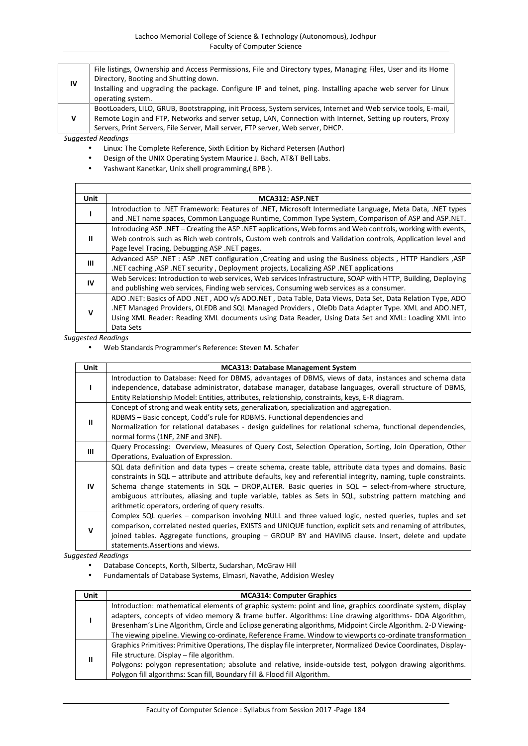| IV | File listings, Ownership and Access Permissions, File and Directory types, Managing Files, User and its Home<br>Directory, Booting and Shutting down.<br>Installing and upgrading the package. Configure IP and telnet, ping. Installing apache web server for Linux<br>operating system.                      |
|----|----------------------------------------------------------------------------------------------------------------------------------------------------------------------------------------------------------------------------------------------------------------------------------------------------------------|
| v  | BootLoaders, LILO, GRUB, Bootstrapping, init Process, System services, Internet and Web service tools, E-mail,<br>Remote Login and FTP, Networks and server setup, LAN, Connection with Internet, Setting up routers, Proxy<br>Servers, Print Servers, File Server, Mail server, FTP server, Web server, DHCP. |

- Linux: The Complete Reference, Sixth Edition by Richard Petersen (Author)
- Design of the UNIX Operating System Maurice J. Bach, AT&T Bell Labs.
- Yashwant Kanetkar, Unix shell programming,( BPB ).

| Unit | MCA312: ASP.NET                                                                                              |
|------|--------------------------------------------------------------------------------------------------------------|
|      | Introduction to .NET Framework: Features of .NET, Microsoft Intermediate Language, Meta Data, .NET types     |
|      | and .NET name spaces, Common Language Runtime, Common Type System, Comparison of ASP and ASP.NET.            |
|      | Introducing ASP. NET – Creating the ASP. NET applications, Web forms and Web controls, working with events,  |
| ш    | Web controls such as Rich web controls, Custom web controls and Validation controls, Application level and   |
|      | Page level Tracing, Debugging ASP .NET pages.                                                                |
| Ш    | Advanced ASP .NET : ASP .NET configuration , Creating and using the Business objects, HTTP Handlers , ASP    |
|      | .NET caching , ASP .NET security , Deployment projects, Localizing ASP .NET applications                     |
|      | Web Services: Introduction to web services, Web services Infrastructure, SOAP with HTTP, Building, Deploying |
| IV   | and publishing web services, Finding web services, Consuming web services as a consumer.                     |
| v    | ADO .NET: Basics of ADO .NET, ADO v/s ADO.NET, Data Table, Data Views, Data Set, Data Relation Type, ADO     |
|      | .NET Managed Providers, OLEDB and SQL Managed Providers, OleDb Data Adapter Type. XML and ADO.NET,           |
|      | Using XML Reader: Reading XML documents using Data Reader, Using Data Set and XML: Loading XML into          |
|      | Data Sets                                                                                                    |

#### *Suggested Readings*

Web Standards Programmer's Reference: Steven M. Schafer

| <b>Unit</b>  | <b>MCA313: Database Management System</b>                                                                                                                                                                       |
|--------------|-----------------------------------------------------------------------------------------------------------------------------------------------------------------------------------------------------------------|
|              | Introduction to Database: Need for DBMS, advantages of DBMS, views of data, instances and schema data<br>independence, database administrator, database manager, database languages, overall structure of DBMS, |
|              | Entity Relationship Model: Entities, attributes, relationship, constraints, keys, E-R diagram.                                                                                                                  |
|              | Concept of strong and weak entity sets, generalization, specialization and aggregation.                                                                                                                         |
| $\mathbf{I}$ | RDBMS – Basic concept, Codd's rule for RDBMS. Functional dependencies and                                                                                                                                       |
|              | Normalization for relational databases - design guidelines for relational schema, functional dependencies,                                                                                                      |
|              | normal forms (1NF, 2NF and 3NF).                                                                                                                                                                                |
| Ш            | Query Processing: Overview, Measures of Query Cost, Selection Operation, Sorting, Join Operation, Other                                                                                                         |
|              | Operations, Evaluation of Expression.                                                                                                                                                                           |
|              | SQL data definition and data types - create schema, create table, attribute data types and domains. Basic                                                                                                       |
|              | constraints in SQL – attribute and attribute defaults, key and referential integrity, naming, tuple constraints.                                                                                                |
| IV.          | Schema change statements in $SQL$ - DROP, ALTER. Basic queries in $SQL$ - select-from-where structure,                                                                                                          |
|              | ambiguous attributes, aliasing and tuple variable, tables as Sets in SQL, substring pattern matching and                                                                                                        |
|              | arithmetic operators, ordering of query results.                                                                                                                                                                |
| $\mathbf v$  | Complex SQL queries - comparison involving NULL and three valued logic, nested queries, tuples and set                                                                                                          |
|              | comparison, correlated nested queries, EXISTS and UNIQUE function, explicit sets and renaming of attributes,                                                                                                    |
|              | joined tables. Aggregate functions, grouping – GROUP BY and HAVING clause. Insert, delete and update                                                                                                            |
|              | statements. Assertions and views.                                                                                                                                                                               |

- Database Concepts, Korth, Silbertz, Sudarshan, McGraw Hill
- Fundamentals of Database Systems, Elmasri, Navathe, Addision Wesley

| Unit | <b>MCA314: Computer Graphics</b>                                                                                                                                                                                                                                                                                                                                                                                                                    |
|------|-----------------------------------------------------------------------------------------------------------------------------------------------------------------------------------------------------------------------------------------------------------------------------------------------------------------------------------------------------------------------------------------------------------------------------------------------------|
|      | Introduction: mathematical elements of graphic system: point and line, graphics coordinate system, display<br>adapters, concepts of video memory & frame buffer. Algorithms: Line drawing algorithms- DDA Algorithm,<br>Bresenham's Line Algorithm, Circle and Eclipse generating algorithms, Midpoint Circle Algorithm. 2-D Viewing-<br>The viewing pipeline. Viewing co-ordinate, Reference Frame. Window to viewports co-ordinate transformation |
| Ш    | Graphics Primitives: Primitive Operations, The display file interpreter, Normalized Device Coordinates, Display-<br>File structure. Display – file algorithm.<br>Polygons: polygon representation; absolute and relative, inside-outside test, polygon drawing algorithms.<br>Polygon fill algorithms: Scan fill, Boundary fill & Flood fill Algorithm.                                                                                             |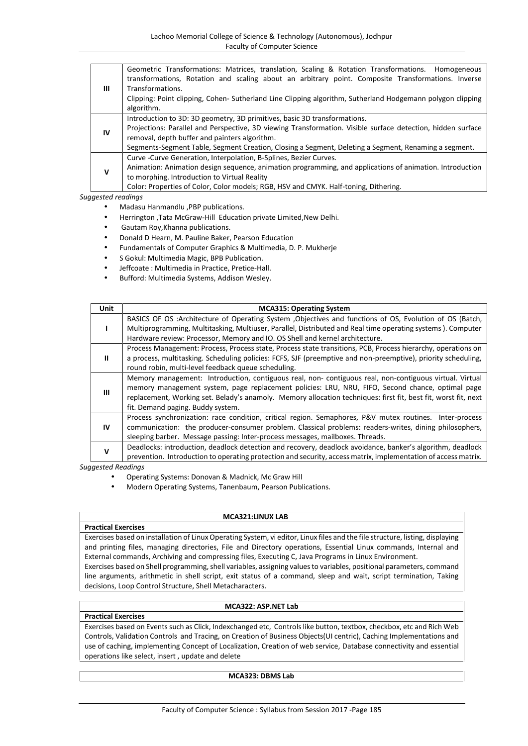| Ш  | Geometric Transformations: Matrices, translation, Scaling & Rotation Transformations. Homogeneous<br>transformations, Rotation and scaling about an arbitrary point. Composite Transformations. Inverse<br>Transformations.<br>Clipping: Point clipping, Cohen- Sutherland Line Clipping algorithm, Sutherland Hodgemann polygon clipping<br>algorithm. |
|----|---------------------------------------------------------------------------------------------------------------------------------------------------------------------------------------------------------------------------------------------------------------------------------------------------------------------------------------------------------|
| IV | Introduction to 3D: 3D geometry, 3D primitives, basic 3D transformations.<br>Projections: Parallel and Perspective, 3D viewing Transformation. Visible surface detection, hidden surface<br>removal, depth buffer and painters algorithm.<br>Segments-Segment Table, Segment Creation, Closing a Segment, Deleting a Segment, Renaming a segment.       |
| v  | Curve - Curve Generation, Interpolation, B-Splines, Bezier Curves.<br>Animation: Animation design sequence, animation programming, and applications of animation. Introduction<br>to morphing. Introduction to Virtual Reality<br>Color: Properties of Color, Color models; RGB, HSV and CMYK. Half-toning, Dithering.                                  |

- Madasu Hanmandlu ,PBP publications.
- Herrington ,Tata McGraw-Hill Education private Limited,New Delhi.
- Gautam Roy,Khanna publications.
- Donald D Hearn, M. Pauline Baker, Pearson Education
- Fundamentals of Computer Graphics & Multimedia, D. P. Mukherje
- S Gokul: Multimedia Magic, BPB Publication.
- Jeffcoate : Multimedia in Practice, Pretice-Hall.
- Bufford: Multimedia Systems, Addison Wesley.

| Unit         | <b>MCA315: Operating System</b>                                                                                                                                                                                                                                                                                                                                   |
|--------------|-------------------------------------------------------------------------------------------------------------------------------------------------------------------------------------------------------------------------------------------------------------------------------------------------------------------------------------------------------------------|
|              | BASICS OF OS :Architecture of Operating System , Objectives and functions of OS, Evolution of OS (Batch,<br>Multiprogramming, Multitasking, Multiuser, Parallel, Distributed and Real time operating systems). Computer<br>Hardware review: Processor, Memory and IO. OS Shell and kernel architecture.                                                           |
| ш            | Process Management: Process, Process state, Process state transitions, PCB, Process hierarchy, operations on<br>a process, multitasking. Scheduling policies: FCFS, SJF (preemptive and non-preemptive), priority scheduling,<br>round robin, multi-level feedback queue scheduling.                                                                              |
| $\mathbf{m}$ | Memory management: Introduction, contiguous real, non-contiguous real, non-contiguous virtual. Virtual<br>memory management system, page replacement policies: LRU, NRU, FIFO, Second chance, optimal page<br>replacement, Working set. Belady's anamoly. Memory allocation techniques: first fit, best fit, worst fit, next<br>fit. Demand paging. Buddy system. |
| <b>IV</b>    | Process synchronization: race condition, critical region. Semaphores, P&V mutex routines. Inter-process<br>communication: the producer-consumer problem. Classical problems: readers-writes, dining philosophers,<br>sleeping barber. Message passing: Inter-process messages, mailboxes. Threads.                                                                |
| v            | Deadlocks: introduction, deadlock detection and recovery, deadlock avoidance, banker's algorithm, deadlock<br>prevention. Introduction to operating protection and security, access matrix, implementation of access matrix.                                                                                                                                      |

*Suggested Readings*

- Operating Systems: Donovan & Madnick, Mc Graw Hill
- Modern Operating Systems, Tanenbaum, Pearson Publications.

#### **MCA321:LINUX LAB**

#### **Practical Exercises**

**Practical Exercises**

Exercises based on installation of Linux Operating System, vi editor, Linux files and the file structure, listing, displaying and printing files, managing directories, File and Directory operations, Essential Linux commands, Internal and External commands, Archiving and compressing files, Executing C, Java Programs in Linux Environment.

Exercises based on Shell programming, shell variables, assigning values to variables, positional parameters, command line arguments, arithmetic in shell script, exit status of a command, sleep and wait, script termination, Taking decisions, Loop Control Structure, Shell Metacharacters.

## **MCA322: ASP.NET Lab**

Exercises based on Events such as Click, Indexchanged etc, Controls like button, textbox, checkbox, etc and Rich Web Controls, Validation Controls and Tracing, on Creation of Business Objects(UI centric), Caching Implementations and use of caching, implementing Concept of Localization, Creation of web service, Database connectivity and essential operations like select, insert , update and delete

#### **MCA323: DBMS Lab**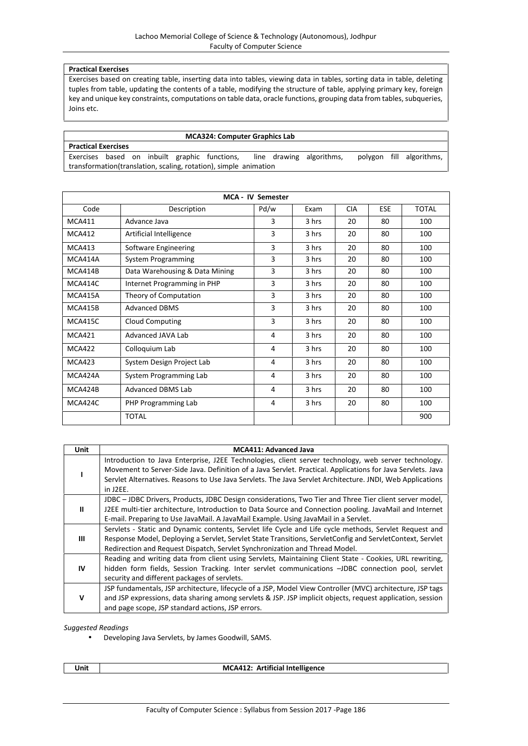## **Practical Exercises**

Exercises based on creating table, inserting data into tables, viewing data in tables, sorting data in table, deleting tuples from table, updating the contents of a table, modifying the structure of table, applying primary key, foreign key and unique key constraints, computations on table data, oracle functions, grouping data from tables, subqueries, Joins etc.

#### **MCA324: Computer Graphics Lab**

**Practical Exercises** Exercises based on inbuilt graphic functions, line drawing algorithms, polygon fill algorithms, transformation(translation, scaling, rotation), simple animation

| <b>MCA - IV Semester</b> |                                |      |       |            |            |              |
|--------------------------|--------------------------------|------|-------|------------|------------|--------------|
| Code                     | Description                    | Pd/w | Exam  | <b>CIA</b> | <b>ESE</b> | <b>TOTAL</b> |
| <b>MCA411</b>            | Advance Java                   | 3    | 3 hrs | 20         | 80         | 100          |
| <b>MCA412</b>            | Artificial Intelligence        | 3    | 3 hrs | 20         | 80         | 100          |
| <b>MCA413</b>            | Software Engineering           | 3    | 3 hrs | 20         | 80         | 100          |
| MCA414A                  | <b>System Programming</b>      | 3    | 3 hrs | 20         | 80         | 100          |
| MCA414B                  | Data Warehousing & Data Mining | 3    | 3 hrs | 20         | 80         | 100          |
| MCA414C                  | Internet Programming in PHP    | 3    | 3 hrs | 20         | 80         | 100          |
| <b>MCA415A</b>           | Theory of Computation          | 3    | 3 hrs | 20         | 80         | 100          |
| <b>MCA415B</b>           | <b>Advanced DBMS</b>           | 3    | 3 hrs | 20         | 80         | 100          |
| <b>MCA415C</b>           | Cloud Computing                | 3    | 3 hrs | 20         | 80         | 100          |
| <b>MCA421</b>            | Advanced JAVA Lab              | 4    | 3 hrs | 20         | 80         | 100          |
| <b>MCA422</b>            | Colloquium Lab                 | 4    | 3 hrs | 20         | 80         | 100          |
| <b>MCA423</b>            | System Design Project Lab      | 4    | 3 hrs | 20         | 80         | 100          |
| MCA424A                  | System Programming Lab         | 4    | 3 hrs | 20         | 80         | 100          |
| MCA424B                  | Advanced DBMS Lab              | 4    | 3 hrs | 20         | 80         | 100          |
| MCA424C                  | PHP Programming Lab            | 4    | 3 hrs | 20         | 80         | 100          |
|                          | <b>TOTAL</b>                   |      |       |            |            | 900          |

| <b>Unit</b> | <b>MCA411: Advanced Java</b>                                                                                |
|-------------|-------------------------------------------------------------------------------------------------------------|
|             | Introduction to Java Enterprise, J2EE Technologies, client server technology, web server technology.        |
|             | Movement to Server-Side Java. Definition of a Java Servlet. Practical. Applications for Java Servlets. Java |
|             | Servlet Alternatives. Reasons to Use Java Servlets. The Java Servlet Architecture. JNDI, Web Applications   |
|             | in J2EE.                                                                                                    |
| Ш           | JDBC - JDBC Drivers, Products, JDBC Design considerations, Two Tier and Three Tier client server model,     |
|             | J2EE multi-tier architecture, Introduction to Data Source and Connection pooling. JavaMail and Internet     |
|             | E-mail. Preparing to Use JavaMail. A JavaMail Example. Using JavaMail in a Servlet.                         |
|             | Servlets - Static and Dynamic contents, Servlet life Cycle and Life cycle methods, Servlet Request and      |
| Ш           | Response Model, Deploying a Servlet, Servlet State Transitions, ServletConfig and ServletContext, Servlet   |
|             | Redirection and Request Dispatch, Servlet Synchronization and Thread Model.                                 |
|             | Reading and writing data from client using Servlets, Maintaining Client State - Cookies, URL rewriting,     |
| IV          | hidden form fields, Session Tracking. Inter servlet communications -JDBC connection pool, servlet           |
|             | security and different packages of servlets.                                                                |
|             | JSP fundamentals, JSP architecture, lifecycle of a JSP, Model View Controller (MVC) architecture, JSP tags  |
| v           | and JSP expressions, data sharing among servlets & JSP. JSP implicit objects, request application, session  |
|             | and page scope, JSP standard actions, JSP errors.                                                           |

#### *Suggested Readings*

Developing Java Servlets, by James Goodwill, SAMS.

**Unit MCA412: Artificial Intelligence**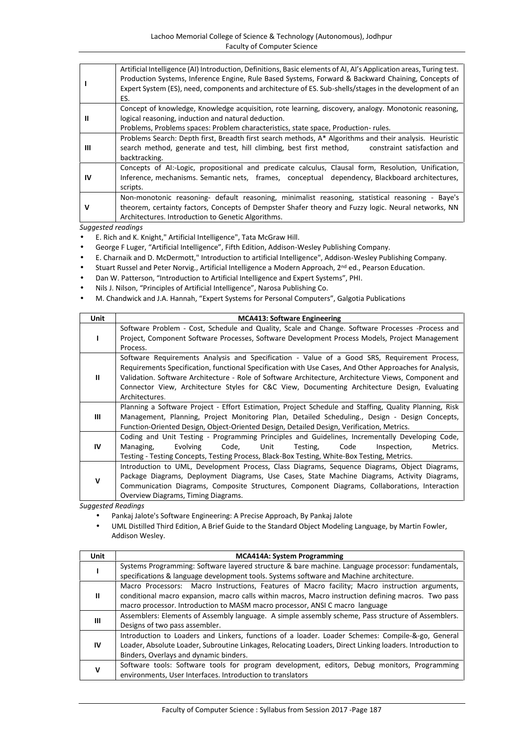|    | Artificial Intelligence (AI) Introduction, Definitions, Basic elements of AI, AI's Application areas, Turing test.<br>Production Systems, Inference Engine, Rule Based Systems, Forward & Backward Chaining, Concepts of<br>Expert System (ES), need, components and architecture of ES. Sub-shells/stages in the development of an<br>ES. |
|----|--------------------------------------------------------------------------------------------------------------------------------------------------------------------------------------------------------------------------------------------------------------------------------------------------------------------------------------------|
| Ш  | Concept of knowledge, Knowledge acquisition, rote learning, discovery, analogy. Monotonic reasoning,<br>logical reasoning, induction and natural deduction.<br>Problems, Problems spaces: Problem characteristics, state space, Production-rules.                                                                                          |
| Ш  | Problems Search: Depth first, Breadth first search methods, A* Algorithms and their analysis. Heuristic<br>search method, generate and test, hill climbing, best first method,<br>constraint satisfaction and<br>backtracking.                                                                                                             |
| IV | Concepts of AI:-Logic, propositional and predicate calculus, Clausal form, Resolution, Unification,<br>Inference, mechanisms. Semantic nets, frames, conceptual dependency, Blackboard architectures,<br>scripts.                                                                                                                          |
| v  | Non-monotonic reasoning- default reasoning, minimalist reasoning, statistical reasoning - Baye's<br>theorem, certainty factors, Concepts of Dempster Shafer theory and Fuzzy logic. Neural networks, NN<br>Architectures. Introduction to Genetic Algorithms.                                                                              |

- E. Rich and K. Knight," Artificial Intelligence", Tata McGraw Hill.
- George F Luger, "Artificial Intelligence", Fifth Edition, Addison-Wesley Publishing Company.
- E. Charnaik and D. McDermott," Introduction to artificial Intelligence", Addison-Wesley Publishing Company.
- Stuart Russel and Peter Norvig., Artificial Intelligence a Modern Approach, 2nd ed., Pearson Education.
- Dan W. Patterson, "Introduction to Artificial Intelligence and Expert Systems", PHI.
- Nils J. Nilson, "Principles of Artificial Intelligence", Narosa Publishing Co.
- M. Chandwick and J.A. Hannah, "Expert Systems for Personal Computers", Galgotia Publications

| <b>Unit</b> | <b>MCA413: Software Engineering</b>                                                                     |
|-------------|---------------------------------------------------------------------------------------------------------|
|             | Software Problem - Cost, Schedule and Quality, Scale and Change. Software Processes -Process and        |
|             | Project, Component Software Processes, Software Development Process Models, Project Management          |
|             | Process.                                                                                                |
|             | Software Requirements Analysis and Specification - Value of a Good SRS, Requirement Process,            |
|             | Requirements Specification, functional Specification with Use Cases, And Other Approaches for Analysis, |
| Ш           | Validation. Software Architecture - Role of Software Architecture, Architecture Views, Component and    |
|             | Connector View, Architecture Styles for C&C View, Documenting Architecture Design, Evaluating           |
|             | Architectures.                                                                                          |
|             | Planning a Software Project - Effort Estimation, Project Schedule and Staffing, Quality Planning, Risk  |
| Ш           | Management, Planning, Project Monitoring Plan, Detailed Scheduling., Design - Design Concepts,          |
|             | Function-Oriented Design, Object-Oriented Design, Detailed Design, Verification, Metrics.               |
|             | Coding and Unit Testing - Programming Principles and Guidelines, Incrementally Developing Code,         |
| IV          | Evolving<br>Unit<br>Metrics.<br>Managing,<br>Code,<br>Testing,<br>Code<br>Inspection,                   |
|             | Testing - Testing Concepts, Testing Process, Black-Box Testing, White-Box Testing, Metrics.             |
|             | Introduction to UML, Development Process, Class Diagrams, Sequence Diagrams, Object Diagrams,           |
| v           | Package Diagrams, Deployment Diagrams, Use Cases, State Machine Diagrams, Activity Diagrams,            |
|             | Communication Diagrams, Composite Structures, Component Diagrams, Collaborations, Interaction           |
|             | Overview Diagrams, Timing Diagrams.                                                                     |

- Pankaj Jalote's Software Engineering: A Precise Approach, By Pankaj Jalote
- UML Distilled Third Edition, A Brief Guide to the Standard Object Modeling Language, by Martin Fowler, Addison Wesley.

| Unit | <b>MCA414A: System Programming</b>                                                                        |
|------|-----------------------------------------------------------------------------------------------------------|
|      | Systems Programming: Software layered structure & bare machine. Language processor: fundamentals,         |
|      | specifications & language development tools. Systems software and Machine architecture.                   |
|      | Macro Processors: Macro Instructions, Features of Macro facility; Macro instruction arguments,            |
| Ш    | conditional macro expansion, macro calls within macros, Macro instruction defining macros. Two pass       |
|      | macro processor. Introduction to MASM macro processor, ANSI C macro language                              |
| Ш    | Assemblers: Elements of Assembly language. A simple assembly scheme, Pass structure of Assemblers.        |
|      | Designs of two pass assembler.                                                                            |
|      | Introduction to Loaders and Linkers, functions of a loader. Loader Schemes: Compile-&-go, General         |
| 1V   | Loader, Absolute Loader, Subroutine Linkages, Relocating Loaders, Direct Linking loaders. Introduction to |
|      | Binders, Overlays and dynamic binders.                                                                    |
| v    | Software tools: Software tools for program development, editors, Debug monitors, Programming              |
|      | environments, User Interfaces. Introduction to translators                                                |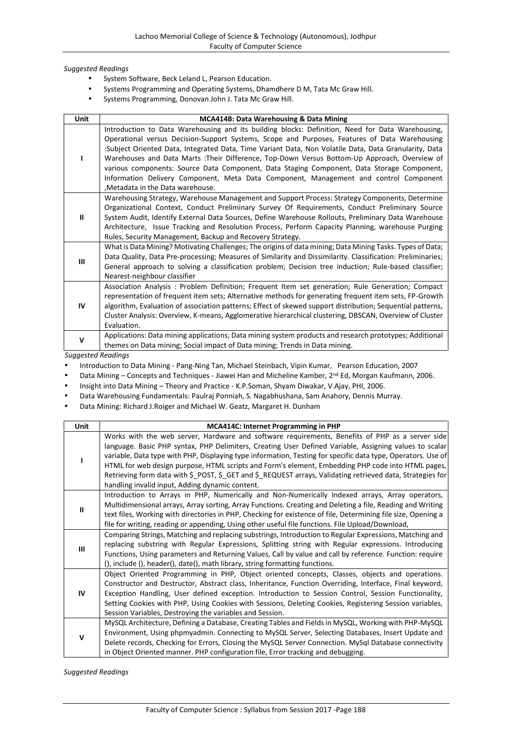- System Software, Beck Leland L, Pearson Education.
- Systems Programming and Operating Systems, Dhamdhere D M, Tata Mc Graw Hill.
- Systems Programming, Donovan John J. Tata Mc Graw Hill.

| Unit         | MCA414B: Data Warehousing & Data Mining                                                                                                                                                                                                                                                                                                                                                                                                                                                                                                                                                                                                 |
|--------------|-----------------------------------------------------------------------------------------------------------------------------------------------------------------------------------------------------------------------------------------------------------------------------------------------------------------------------------------------------------------------------------------------------------------------------------------------------------------------------------------------------------------------------------------------------------------------------------------------------------------------------------------|
|              | Introduction to Data Warehousing and its building blocks: Definition, Need for Data Warehousing,<br>Operational versus Decision-Support Systems, Scope and Purposes, Features of Data Warehousing<br>Subject Oriented Data, Integrated Data, Time Variant Data, Non Volatile Data, Data Granularity, Data:<br>Warehouses and Data Marts : Their Difference, Top-Down Versus Bottom-Up Approach, Overview of<br>various components: Source Data Component, Data Staging Component, Data Storage Component,<br>Information Delivery Component, Meta Data Component, Management and control Component<br>, Metadata in the Data warehouse. |
| Ш            | Warehousing Strategy, Warehouse Management and Support Process: Strategy Components, Determine<br>Organizational Context, Conduct Preliminary Survey Of Requirements, Conduct Preliminary Source<br>System Audit, Identify External Data Sources, Define Warehouse Rollouts, Preliminary Data Warehouse<br>Architecture, Issue Tracking and Resolution Process, Perform Capacity Planning, warehouse Purging<br>Rules, Security Management, Backup and Recovery Strategy.                                                                                                                                                               |
| Ш            | What is Data Mining? Motivating Challenges; The origins of data mining; Data Mining Tasks. Types of Data;<br>Data Quality, Data Pre-processing; Measures of Similarity and Dissimilarity. Classification: Preliminaries;<br>General approach to solving a classification problem; Decision tree induction; Rule-based classifier;<br>Nearest-neighbour classifier                                                                                                                                                                                                                                                                       |
| IV           | Association Analysis: Problem Definition; Frequent Item set generation; Rule Generation; Compact<br>representation of frequent item sets; Alternative methods for generating frequent item sets, FP-Growth<br>algorithm, Evaluation of association patterns; Effect of skewed support distribution; Sequential patterns,<br>Cluster Analysis: Overview, K-means, Agglomerative hierarchical clustering, DBSCAN, Overview of Cluster<br>Evaluation.                                                                                                                                                                                      |
| $\mathsf{v}$ | Applications: Data mining applications; Data mining system products and research prototypes; Additional<br>themes on Data mining; Social impact of Data mining; Trends in Data mining.                                                                                                                                                                                                                                                                                                                                                                                                                                                  |

*Suggested Readings*

Introduction to Data Mining - Pang-Ning Tan, Michael Steinbach, Vipin Kumar, Pearson Education, 2007

Data Mining – Concepts and Techniques - Jiawei Han and Micheline Kamber, 2<sup>nd</sup> Ed, Morgan Kaufmann, 2006.

Insight into Data Mining – Theory and Practice - K.P.Soman, Shyam Diwakar, V.Ajay, PHI, 2006.

Data Warehousing Fundamentals: Paulraj Ponniah, S. Nagabhushana, Sam Anahory, Dennis Murray.

Data Mining: Richard J.Roiger and Michael W. Geatz, Margaret H. Dunham

| Unit          | <b>MCA414C: Internet Programming in PHP</b>                                                                                                                                                                                                                                                                                                                                                                                                                                                                                                                                                     |
|---------------|-------------------------------------------------------------------------------------------------------------------------------------------------------------------------------------------------------------------------------------------------------------------------------------------------------------------------------------------------------------------------------------------------------------------------------------------------------------------------------------------------------------------------------------------------------------------------------------------------|
|               | Works with the web server, Hardware and software requirements, Benefits of PHP as a server side<br>language. Basic PHP syntax, PHP Delimiters, Creating User Defined Variable, Assigning values to scalar<br>variable, Data type with PHP, Displaying type information, Testing for specific data type, Operators. Use of<br>HTML for web design purpose, HTML scripts and Form's element, Embedding PHP code into HTML pages,<br>Retrieving form data with \$_POST, \$_GET and \$_REQUEST arrays, Validating retrieved data, Strategies for<br>handling invalid input, Adding dynamic content. |
| $\mathbf{II}$ | Introduction to Arrays in PHP, Numerically and Non-Numerically Indexed arrays, Array operators,<br>Multidimensional arrays, Array sorting, Array Functions. Creating and Deleting a file, Reading and Writing<br>text files, Working with directories in PHP, Checking for existence of file, Determining file size, Opening a<br>file for writing, reading or appending, Using other useful file functions. File Upload/Download,                                                                                                                                                              |
| Ш             | Comparing Strings, Matching and replacing substrings, Introduction to Regular Expressions, Matching and<br>replacing substring with Regular Expressions, Splitting string with Regular expressions. Introducing<br>Functions, Using parameters and Returning Values, Call by value and call by reference. Function: require<br>(), include (), header(), date(), math library, string formatting functions.                                                                                                                                                                                     |
| IV            | Object Oriented Programming in PHP, Object oriented concepts, Classes, objects and operations.<br>Constructor and Destructor, Abstract class, Inheritance, Function Overriding, Interface, Final keyword,<br>Exception Handling, User defined exception. Introduction to Session Control, Session Functionality,<br>Setting Cookies with PHP, Using Cookies with Sessions, Deleting Cookies, Registering Session variables,<br>Session Variables, Destroying the variables and Session.                                                                                                         |
| v             | MySQL Architecture, Defining a Database, Creating Tables and Fields in MySQL, Working with PHP-MySQL<br>Environment, Using phpmyadmin. Connecting to MySQL Server, Selecting Databases, Insert Update and<br>Delete records, Checking for Errors, Closing the MySQL Server Connection. MySql Database connectivity<br>in Object Oriented manner. PHP configuration file, Error tracking and debugging.                                                                                                                                                                                          |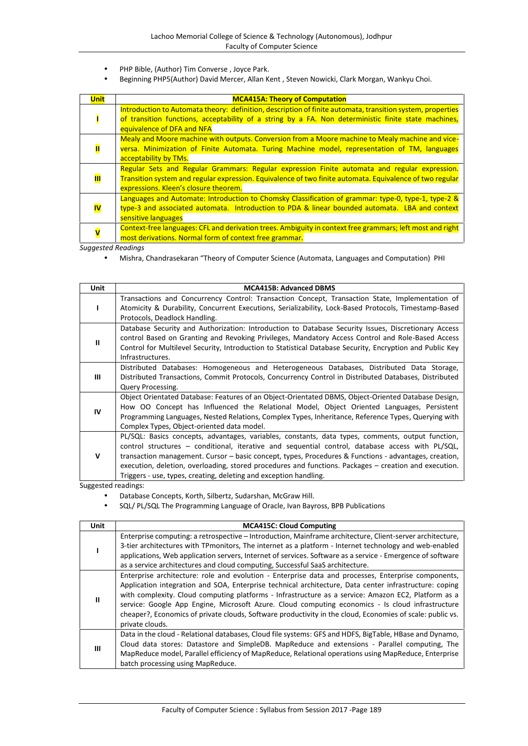- PHP Bible, (Author) Tim Converse , Joyce Park.
- Beginning PHP5(Author) David Mercer, Allan Kent , Steven Nowicki, Clark Morgan, Wankyu Choi.

| <b>Unit</b> | <b>MCA415A: Theory of Computation</b>                                                                      |
|-------------|------------------------------------------------------------------------------------------------------------|
|             | Introduction to Automata theory: definition, description of finite automata, transition system, properties |
|             | of transition functions, acceptability of a string by a FA. Non deterministic finite state machines,       |
|             | equivalence of DFA and NFA                                                                                 |
|             | Mealy and Moore machine with outputs. Conversion from a Moore machine to Mealy machine and vice-           |
|             | versa. Minimization of Finite Automata. Turing Machine model, representation of TM, languages              |
|             | acceptability by TMs.                                                                                      |
|             | Regular Sets and Regular Grammars: Regular expression Finite automata and regular expression.              |
| Ш           | Transition system and regular expression. Equivalence of two finite automata. Equivalence of two regular   |
|             | expressions. Kleen's closure theorem.                                                                      |
|             | Languages and Automate: Introduction to Chomsky Classification of grammar: type-0, type-1, type-2 &        |
| <b>IV</b>   | type-3 and associated automata. Introduction to PDA & linear bounded automata. LBA and context             |
|             | sensitive languages                                                                                        |
|             | Context-free languages: CFL and derivation trees. Ambiguity in context free grammars; left most and right  |
|             | most derivations. Normal form of context free grammar.                                                     |

Mishra, Chandrasekaran "Theory of Computer Science (Automata, Languages and Computation) PHI

| <b>Unit</b>  | <b>MCA415B: Advanced DBMS</b>                                                                                                                                                                                                                                                                                                                                                                                                                                                                   |
|--------------|-------------------------------------------------------------------------------------------------------------------------------------------------------------------------------------------------------------------------------------------------------------------------------------------------------------------------------------------------------------------------------------------------------------------------------------------------------------------------------------------------|
|              | Transactions and Concurrency Control: Transaction Concept, Transaction State, Implementation of<br>Atomicity & Durability, Concurrent Executions, Serializability, Lock-Based Protocols, Timestamp-Based<br>Protocols, Deadlock Handling.                                                                                                                                                                                                                                                       |
| $\mathbf{H}$ | Database Security and Authorization: Introduction to Database Security Issues, Discretionary Access<br>control Based on Granting and Revoking Privileges, Mandatory Access Control and Role-Based Access<br>Control for Multilevel Security, Introduction to Statistical Database Security, Encryption and Public Key<br>Infrastructures.                                                                                                                                                       |
| Ш            | Distributed Databases: Homogeneous and Heterogeneous Databases, Distributed Data Storage,<br>Distributed Transactions, Commit Protocols, Concurrency Control in Distributed Databases, Distributed<br>Query Processing.                                                                                                                                                                                                                                                                         |
| IV           | Object Orientated Database: Features of an Object-Orientated DBMS, Object-Oriented Database Design,<br>How OO Concept has Influenced the Relational Model, Object Oriented Languages, Persistent<br>Programming Languages, Nested Relations, Complex Types, Inheritance, Reference Types, Querying with<br>Complex Types, Object-oriented data model.                                                                                                                                           |
| $\mathbf v$  | PL/SQL: Basics concepts, advantages, variables, constants, data types, comments, output function,<br>control structures – conditional, iterative and sequential control, database access with $PL/SQL$ ,<br>transaction management. Cursor – basic concept, types, Procedures & Functions - advantages, creation,<br>execution, deletion, overloading, stored procedures and functions. Packages - creation and execution.<br>Triggers - use, types, creating, deleting and exception handling. |

- Database Concepts, Korth, Silbertz, Sudarshan, McGraw Hill.
- SQL/ PL/SQL The Programming Language of Oracle, Ivan Bayross, BPB Publications

| <b>Unit</b>  | <b>MCA415C: Cloud Computing</b>                                                                                                                                                                                                                                                                                                                                                                                                                                                                                                                          |  |  |  |
|--------------|----------------------------------------------------------------------------------------------------------------------------------------------------------------------------------------------------------------------------------------------------------------------------------------------------------------------------------------------------------------------------------------------------------------------------------------------------------------------------------------------------------------------------------------------------------|--|--|--|
|              | Enterprise computing: a retrospective – Introduction, Mainframe architecture, Client-server architecture,<br>3-tier architectures with TPmonitors, The internet as a platform - Internet technology and web-enabled<br>applications, Web application servers, Internet of services. Software as a service - Emergence of software<br>as a service architectures and cloud computing, Successful SaaS architecture.                                                                                                                                       |  |  |  |
| $\mathbf{H}$ | Enterprise architecture: role and evolution - Enterprise data and processes, Enterprise components,<br>Application integration and SOA, Enterprise technical architecture, Data center infrastructure: coping<br>with complexity. Cloud computing platforms - Infrastructure as a service: Amazon EC2, Platform as a<br>service: Google App Engine, Microsoft Azure. Cloud computing economics - Is cloud infrastructure<br>cheaper?, Economics of private clouds, Software productivity in the cloud, Economies of scale: public vs.<br>private clouds. |  |  |  |
| Ш            | Data in the cloud - Relational databases, Cloud file systems: GFS and HDFS, BigTable, HBase and Dynamo,<br>Cloud data stores: Datastore and SimpleDB. MapReduce and extensions - Parallel computing, The<br>MapReduce model, Parallel efficiency of MapReduce, Relational operations using MapReduce, Enterprise<br>batch processing using MapReduce.                                                                                                                                                                                                    |  |  |  |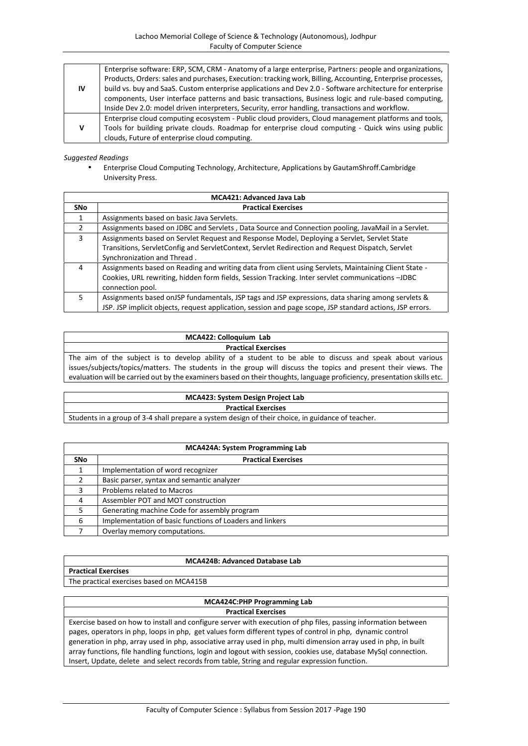|    | Enterprise software: ERP, SCM, CRM - Anatomy of a large enterprise, Partners: people and organizations,     |
|----|-------------------------------------------------------------------------------------------------------------|
|    | Products, Orders: sales and purchases, Execution: tracking work, Billing, Accounting, Enterprise processes, |
| IV | build vs. buy and SaaS. Custom enterprise applications and Dev 2.0 - Software architecture for enterprise   |
|    | components, User interface patterns and basic transactions, Business logic and rule-based computing,        |
|    | Inside Dev 2.0: model driven interpreters, Security, error handling, transactions and workflow.             |
|    | Enterprise cloud computing ecosystem - Public cloud providers, Cloud management platforms and tools,        |
|    | Tools for building private clouds. Roadmap for enterprise cloud computing - Quick wins using public         |
|    | clouds, Future of enterprise cloud computing.                                                               |

 Enterprise Cloud Computing Technology, Architecture, Applications by GautamShroff.Cambridge University Press.

|               | <b>MCA421: Advanced Java Lab</b>                                                                          |  |  |
|---------------|-----------------------------------------------------------------------------------------------------------|--|--|
| <b>SNo</b>    | <b>Practical Exercises</b>                                                                                |  |  |
|               | Assignments based on basic Java Servlets.                                                                 |  |  |
| $\mathcal{P}$ | Assignments based on JDBC and Servlets, Data Source and Connection pooling, JavaMail in a Servlet.        |  |  |
| 3             | Assignments based on Servlet Request and Response Model, Deploying a Servlet, Servlet State               |  |  |
|               | Transitions, ServletConfig and ServletContext, Servlet Redirection and Request Dispatch, Servlet          |  |  |
|               | Synchronization and Thread.                                                                               |  |  |
| 4             | Assignments based on Reading and writing data from client using Servlets, Maintaining Client State -      |  |  |
|               | Cookies, URL rewriting, hidden form fields, Session Tracking. Inter servlet communications - JDBC         |  |  |
|               | connection pool.                                                                                          |  |  |
| 5.            | Assignments based on JSP fundamentals, JSP tags and JSP expressions, data sharing among servlets &        |  |  |
|               | JSP. JSP implicit objects, request application, session and page scope, JSP standard actions, JSP errors. |  |  |

| MCA422: Colloquium Lab                                                                                                  |
|-------------------------------------------------------------------------------------------------------------------------|
| <b>Practical Exercises</b>                                                                                              |
| The aim of the subject is to develop ability of a student to be able to discuss and speak about various                 |
| issues/subjects/topics/matters. The students in the group will discuss the topics and present their views. The          |
| evaluation will be carried out by the examiners based on their thoughts, language proficiency, presentation skills etc. |

# **MCA423: System Design Project Lab Practical Exercises** Students in a group of 3-4 shall prepare a system design of their choice, in guidance of teacher.

| <b>MCA424A: System Programming Lab</b> |                                                          |  |
|----------------------------------------|----------------------------------------------------------|--|
| <b>SNo</b>                             | <b>Practical Exercises</b>                               |  |
|                                        | Implementation of word recognizer                        |  |
|                                        | Basic parser, syntax and semantic analyzer               |  |
| 3                                      | Problems related to Macros                               |  |
| 4                                      | Assembler POT and MOT construction                       |  |
|                                        | Generating machine Code for assembly program             |  |
| 6                                      | Implementation of basic functions of Loaders and linkers |  |
|                                        | Overlay memory computations.                             |  |

## **MCA424B: Advanced Database Lab**

**Practical Exercises** The practical exercises based on MCA415B

## **MCA424C:PHP Programming Lab Practical Exercises**

Exercise based on how to install and configure server with execution of php files, passing information between pages, operators in php, loops in php, get values form different types of control in php, dynamic control generation in php, array used in php, associative array used in php, multi dimension array used in php, in built array functions, file handling functions, login and logout with session, cookies use, database MySql connection. Insert, Update, delete and select records from table, String and regular expression function.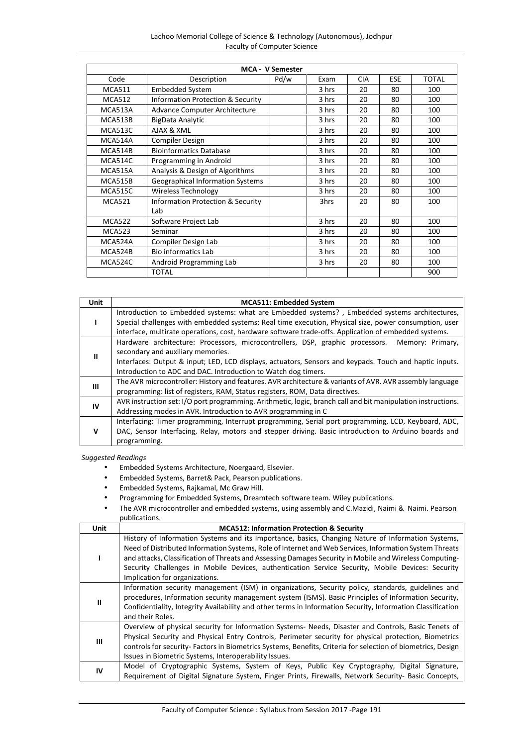| <b>MCA - V Semester</b> |                                              |      |       |            |            |              |
|-------------------------|----------------------------------------------|------|-------|------------|------------|--------------|
| Code                    | Description                                  | Pd/w | Exam  | <b>CIA</b> | <b>ESE</b> | <b>TOTAL</b> |
| <b>MCA511</b>           | <b>Embedded System</b>                       |      | 3 hrs | 20         | 80         | 100          |
| <b>MCA512</b>           | <b>Information Protection &amp; Security</b> |      | 3 hrs | 20         | 80         | 100          |
| MCA513A                 | <b>Advance Computer Architecture</b>         |      | 3 hrs | 20         | 80         | 100          |
| MCA513B                 | BigData Analytic                             |      | 3 hrs | 20         | 80         | 100          |
| MCA513C                 | AJAX & XML                                   |      | 3 hrs | 20         | 80         | 100          |
| MCA514A                 | Compiler Design                              |      | 3 hrs | 20         | 80         | 100          |
| MCA514B                 | <b>Bioinformatics Database</b>               |      | 3 hrs | 20         | 80         | 100          |
| MCA514C                 | Programming in Android                       |      | 3 hrs | 20         | 80         | 100          |
| <b>MCA515A</b>          | Analysis & Design of Algorithms              |      | 3 hrs | 20         | 80         | 100          |
| MCA515B                 | <b>Geographical Information Systems</b>      |      | 3 hrs | 20         | 80         | 100          |
| <b>MCA515C</b>          | Wireless Technology                          |      | 3 hrs | 20         | 80         | 100          |
| <b>MCA521</b>           | <b>Information Protection &amp; Security</b> |      | 3hrs  | 20         | 80         | 100          |
|                         | Lab                                          |      |       |            |            |              |
| <b>MCA522</b>           | Software Project Lab                         |      | 3 hrs | 20         | 80         | 100          |
| <b>MCA523</b>           | Seminar                                      |      | 3 hrs | 20         | 80         | 100          |
| MCA524A                 | Compiler Design Lab                          |      | 3 hrs | 20         | 80         | 100          |
| MCA524B                 | <b>Bio informatics Lab</b>                   |      | 3 hrs | 20         | 80         | 100          |
| MCA524C                 | Android Programming Lab                      |      | 3 hrs | 20         | 80         | 100          |
|                         | <b>TOTAL</b>                                 |      |       |            |            | 900          |

| <b>Unit</b> | <b>MCA511: Embedded System</b>                                                                                                                                                                                                                                                                                   |
|-------------|------------------------------------------------------------------------------------------------------------------------------------------------------------------------------------------------------------------------------------------------------------------------------------------------------------------|
|             | Introduction to Embedded systems: what are Embedded systems?, Embedded systems architectures,<br>Special challenges with embedded systems: Real time execution, Physical size, power consumption, user<br>interface, multirate operations, cost, hardware software trade-offs. Application of embedded systems.  |
| Ш           | Hardware architecture: Processors, microcontrollers, DSP, graphic processors. Memory: Primary,<br>secondary and auxiliary memories.<br>Interfaces: Output & input; LED, LCD displays, actuators, Sensors and keypads. Touch and haptic inputs.<br>Introduction to ADC and DAC. Introduction to Watch dog timers. |
| Ш           | The AVR microcontroller: History and features. AVR architecture & variants of AVR. AVR assembly language<br>programming: list of registers, RAM, Status registers, ROM, Data directives.                                                                                                                         |
| IV          | AVR instruction set: I/O port programming. Arithmetic, logic, branch call and bit manipulation instructions.<br>Addressing modes in AVR. Introduction to AVR programming in C                                                                                                                                    |
| v           | Interfacing: Timer programming, Interrupt programming, Serial port programming, LCD, Keyboard, ADC,<br>DAC, Sensor Interfacing, Relay, motors and stepper driving. Basic introduction to Arduino boards and<br>programming.                                                                                      |

- Embedded Systems Architecture, Noergaard, Elsevier.
- Embedded Systems, Barret& Pack, Pearson publications.
- Embedded Systems, Rajkamal, Mc Graw Hill.
- Programming for Embedded Systems, Dreamtech software team. Wiley publications.
- The AVR microcontroller and embedded systems, using assembly and C.Mazidi, Naimi & Naimi. Pearson publications.

| Unit | <b>MCA512: Information Protection &amp; Security</b>                                                                                                                                                                                                                                                                                                                                                                                                          |  |  |  |
|------|---------------------------------------------------------------------------------------------------------------------------------------------------------------------------------------------------------------------------------------------------------------------------------------------------------------------------------------------------------------------------------------------------------------------------------------------------------------|--|--|--|
|      | History of Information Systems and its Importance, basics, Changing Nature of Information Systems,<br>Need of Distributed Information Systems, Role of Internet and Web Services, Information System Threats<br>and attacks, Classification of Threats and Assessing Damages Security in Mobile and Wireless Computing-<br>Security Challenges in Mobile Devices, authentication Service Security, Mobile Devices: Security<br>Implication for organizations. |  |  |  |
| Ш    | Information security management (ISM) in organizations, Security policy, standards, guidelines and<br>procedures, Information security management system (ISMS). Basic Principles of Information Security,<br>Confidentiality, Integrity Availability and other terms in Information Security, Information Classification<br>and their Roles.                                                                                                                 |  |  |  |
| Ш    | Overview of physical security for Information Systems- Needs, Disaster and Controls, Basic Tenets of<br>Physical Security and Physical Entry Controls, Perimeter security for physical protection, Biometrics<br>controls for security- Factors in Biometrics Systems, Benefits, Criteria for selection of biometrics, Design<br>Issues in Biometric Systems, Interoperability Issues.                                                                        |  |  |  |
| IV   | Model of Cryptographic Systems, System of Keys, Public Key Cryptography, Digital Signature,<br>Requirement of Digital Signature System, Finger Prints, Firewalls, Network Security- Basic Concepts,                                                                                                                                                                                                                                                           |  |  |  |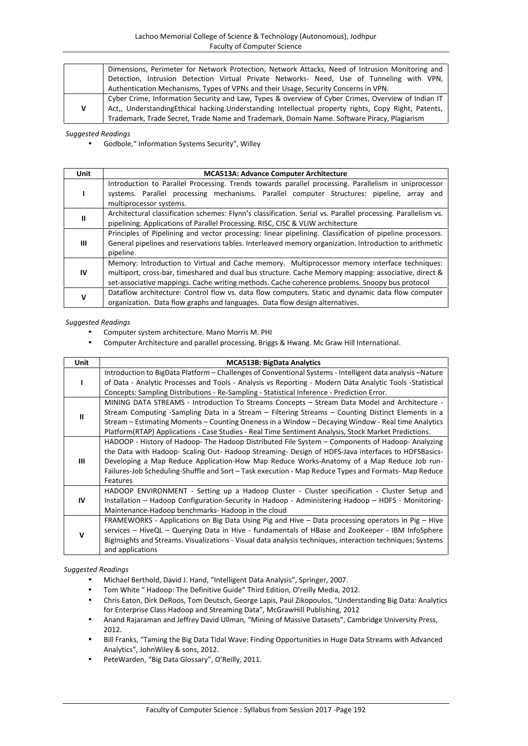|   | Dimensions, Perimeter for Network Protection, Network Attacks, Need of Intrusion Monitoring and       |  |  |
|---|-------------------------------------------------------------------------------------------------------|--|--|
|   | Detection, Intrusion Detection Virtual Private Networks- Need, Use of Tunneling with VPN,             |  |  |
|   | Authentication Mechanisms, Types of VPNs and their Usage, Security Concerns in VPN.                   |  |  |
|   | Cyber Crime, Information Security and Law, Types & overview of Cyber Crimes, Overview of Indian IT    |  |  |
| v | Act,, Understanding Ethical hacking. Understanding Intellectual property rights, Copy Right, Patents, |  |  |
|   | Trademark, Trade Secret, Trade Name and Trademark, Domain Name. Software Piracy, Plagiarism           |  |  |

Godbole," Information Systems Security", Willey

| Unit | <b>MCA513A: Advance Computer Architecture</b>                                                                                                                                                                                                                                                           |  |  |  |
|------|---------------------------------------------------------------------------------------------------------------------------------------------------------------------------------------------------------------------------------------------------------------------------------------------------------|--|--|--|
|      | Introduction to Parallel Processing. Trends towards parallel processing. Parallelism in uniprocessor<br>systems. Parallel processing mechanisms. Parallel computer Structures: pipeline, array and<br>multiprocessor systems.                                                                           |  |  |  |
| Ш    | Architectural classification schemes: Flynn's classification. Serial vs. Parallel processing. Parallelism vs.<br>pipelining. Applications of Parallel Processing. RISC, CISC & VLIW architecture                                                                                                        |  |  |  |
| Ш    | Principles of Pipelining and vector processing: linear pipelining. Classification of pipeline processors.<br>General pipelines and reservations tables. Interleaved memory organization. Introduction to arithmetic<br>pipeline.                                                                        |  |  |  |
| IV   | Memory: Introduction to Virtual and Cache memory. Multiprocessor memory interface techniques:<br>multiport, cross-bar, timeshared and dual bus structure. Cache Memory mapping: associative, direct &<br>set-associative mappings. Cache writing methods. Cache coherence problems. Snoopy bus protocol |  |  |  |
| v    | Dataflow architecture: Control flow vs. data flow computers. Static and dynamic data flow computer<br>organization. Data flow graphs and languages. Data flow design alternatives.                                                                                                                      |  |  |  |

## *Suggested Readings*

- Computer system architecture. Mano Morris M. PHI
- Computer Architecture and parallel processing. Briggs & Hwang. Mc Graw Hill International.

| Unit | <b>MCA513B: BigData Analytics</b>                                                                          |
|------|------------------------------------------------------------------------------------------------------------|
|      | Introduction to BigData Platform - Challenges of Conventional Systems - Intelligent data analysis -Nature  |
|      | of Data - Analytic Processes and Tools - Analysis vs Reporting - Modern Data Analytic Tools -Statistical   |
|      | Concepts: Sampling Distributions - Re-Sampling - Statistical Inference - Prediction Error.                 |
|      | MINING DATA STREAMS - Introduction To Streams Concepts - Stream Data Model and Architecture -              |
| Ш    | Stream Computing -Sampling Data in a Stream $-$ Filtering Streams $-$ Counting Distinct Elements in a      |
|      | Stream – Estimating Moments – Counting Oneness in a Window – Decaying Window - Real time Analytics         |
|      | Platform (RTAP) Applications - Case Studies - Real Time Sentiment Analysis, Stock Market Predictions.      |
|      | HADOOP - History of Hadoop-The Hadoop Distributed File System – Components of Hadoop-Analyzing             |
|      | the Data with Hadoop- Scaling Out- Hadoop Streaming- Design of HDFS-Java interfaces to HDFSBasics-         |
| Ш    | Developing a Map Reduce Application-How Map Reduce Works-Anatomy of a Map Reduce Job run-                  |
|      | Failures-Job Scheduling-Shuffle and Sort – Task execution - Map Reduce Types and Formats- Map Reduce       |
|      | Features                                                                                                   |
|      | HADOOP ENVIRONMENT - Setting up a Hadoop Cluster - Cluster specification - Cluster Setup and               |
| IV   | Installation – Hadoop Configuration-Security in Hadoop - Administering Hadoop – HDFS - Monitoring-         |
|      | Maintenance-Hadoop benchmarks- Hadoop in the cloud                                                         |
|      | FRAMEWORKS - Applications on Big Data Using Pig and Hive – Data processing operators in Pig – Hive         |
| v    | services – HiveQL – Querying Data in Hive - fundamentals of HBase and ZooKeeper - IBM InfoSphere           |
|      | BigInsights and Streams. Visualizations - Visual data analysis techniques, interaction techniques; Systems |
|      | and applications                                                                                           |

- Michael Berthold, David J. Hand, "Intelligent Data Analysis", Springer, 2007.
- Tom White " Hadoop: The Definitive Guide" Third Edition, O'reilly Media, 2012.
- Chris Eaton, Dirk DeRoos, Tom Deutsch, George Lapis, Paul Zikopoulos, "Understanding Big Data: Analytics for Enterprise Class Hadoop and Streaming Data", McGrawHill Publishing, 2012
- Anand Rajaraman and Jeffrey David Ullman, "Mining of Massive Datasets", Cambridge University Press, 2012.
- Bill Franks, "Taming the Big Data Tidal Wave: Finding Opportunities in Huge Data Streams with Advanced Analytics", JohnWiley & sons, 2012.
- PeteWarden, "Big Data Glossary", O'Reilly, 2011.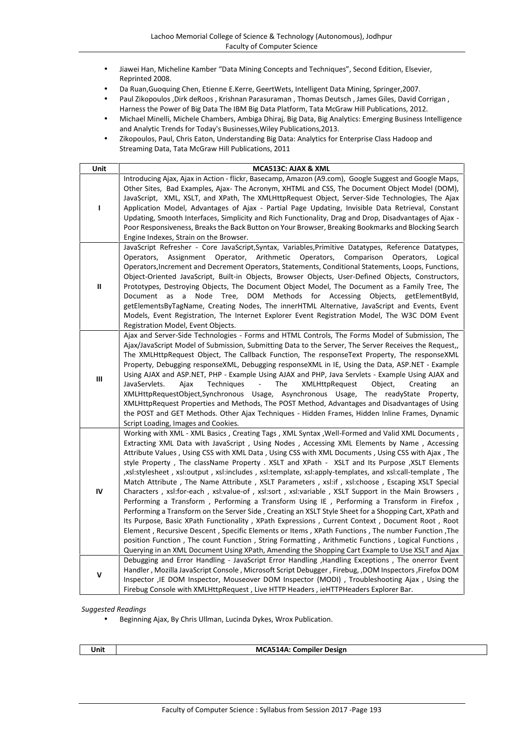- Jiawei Han, Micheline Kamber "Data Mining Concepts and Techniques", Second Edition, Elsevier, Reprinted 2008.
- Da Ruan,Guoquing Chen, Etienne E.Kerre, GeertWets, Intelligent Data Mining, Springer,2007.
- Paul Zikopoulos ,Dirk deRoos , Krishnan Parasuraman , Thomas Deutsch , James Giles, David Corrigan , Harness the Power of Big Data The IBM Big Data Platform, Tata McGraw Hill Publications, 2012.
- Michael Minelli, Michele Chambers, Ambiga Dhiraj, Big Data, Big Analytics: Emerging Business Intelligence and Analytic Trends for Today's Businesses,Wiley Publications,2013.
- Zikopoulos, Paul, Chris Eaton, Understanding Big Data: Analytics for Enterprise Class Hadoop and Streaming Data, Tata McGraw Hill Publications, 2011

| Unit           | MCA513C: AJAX & XML                                                                                                                                                                                                                                                                                                                                                                                                                                                                                                                                                                                                                                                                                                                                                                                                                                                                                                                                                                                                                                                                                                                                                                                                                                                                                                                                 |  |
|----------------|-----------------------------------------------------------------------------------------------------------------------------------------------------------------------------------------------------------------------------------------------------------------------------------------------------------------------------------------------------------------------------------------------------------------------------------------------------------------------------------------------------------------------------------------------------------------------------------------------------------------------------------------------------------------------------------------------------------------------------------------------------------------------------------------------------------------------------------------------------------------------------------------------------------------------------------------------------------------------------------------------------------------------------------------------------------------------------------------------------------------------------------------------------------------------------------------------------------------------------------------------------------------------------------------------------------------------------------------------------|--|
| I.             | Introducing Ajax, Ajax in Action - flickr, Basecamp, Amazon (A9.com), Google Suggest and Google Maps,<br>Other Sites, Bad Examples, Ajax- The Acronym, XHTML and CSS, The Document Object Model (DOM),<br>JavaScript, XML, XSLT, and XPath, The XMLHttpRequest Object, Server-Side Technologies, The Ajax<br>Application Model, Advantages of Ajax - Partial Page Updating, Invisible Data Retrieval, Constant<br>Updating, Smooth Interfaces, Simplicity and Rich Functionality, Drag and Drop, Disadvantages of Ajax -<br>Poor Responsiveness, Breaks the Back Button on Your Browser, Breaking Bookmarks and Blocking Search<br>Engine Indexes, Strain on the Browser.                                                                                                                                                                                                                                                                                                                                                                                                                                                                                                                                                                                                                                                                           |  |
| $\sf II$       | JavaScript Refresher - Core JavaScript, Syntax, Variables, Primitive Datatypes, Reference Datatypes,<br>Assignment Operator,<br>Arithmetic Operators, Comparison<br>Operators,<br>Operators,<br>Logical<br>Operators, Increment and Decrement Operators, Statements, Conditional Statements, Loops, Functions,<br>Object-Oriented JavaScript, Built-in Objects, Browser Objects, User-Defined Objects, Constructors,<br>Prototypes, Destroying Objects, The Document Object Model, The Document as a Family Tree, The<br>Document as a Node Tree, DOM Methods for Accessing Objects, getElementById,<br>getElementsByTagName, Creating Nodes, The innerHTML Alternative, JavaScript and Events, Event<br>Models, Event Registration, The Internet Explorer Event Registration Model, The W3C DOM Event<br>Registration Model, Event Objects.                                                                                                                                                                                                                                                                                                                                                                                                                                                                                                        |  |
| $\mathbf{III}$ | Ajax and Server-Side Technologies - Forms and HTML Controls, The Forms Model of Submission, The<br>Ajax/JavaScript Model of Submission, Submitting Data to the Server, The Server Receives the Request,<br>The XMLHttpRequest Object, The Callback Function, The responseText Property, The responseXML<br>Property, Debugging responseXML, Debugging responseXML in IE, Using the Data, ASP.NET - Example<br>Using AJAX and ASP.NET, PHP - Example Using AJAX and PHP, Java Servlets - Example Using AJAX and<br>JavaServlets.<br>Techniques<br>The<br>Ajax<br>$\overline{\phantom{a}}$<br>XMLHttpRequest<br>Object,<br>Creating<br>an<br>XMLHttpRequestObject,Synchronous Usage, Asynchronous Usage, The readyState Property,<br>XMLHttpRequest Properties and Methods, The POST Method, Advantages and Disadvantages of Using<br>the POST and GET Methods. Other Ajax Techniques - Hidden Frames, Hidden Inline Frames, Dynamic<br>Script Loading, Images and Cookies.                                                                                                                                                                                                                                                                                                                                                                           |  |
| $\mathsf{IV}$  | Working with XML - XML Basics, Creating Tags, XML Syntax, Well-Formed and Valid XML Documents,<br>Extracting XML Data with JavaScript, Using Nodes, Accessing XML Elements by Name, Accessing<br>Attribute Values, Using CSS with XML Data, Using CSS with XML Documents, Using CSS with Ajax, The<br>style Property, The className Property . XSLT and XPath - XSLT and Its Purpose, XSLT Elements<br>,xsl:stylesheet, xsl:output, xsl:includes, xsl:template, xsl:apply-templates, and xsl:call-template, The<br>Match Attribute, The Name Attribute, XSLT Parameters, xsl:if, xsl:choose, Escaping XSLT Special<br>Characters, xsl:for-each, xsl:value-of, xsl:sort, xsl:variable, XSLT Support in the Main Browsers,<br>Performing a Transform, Performing a Transform Using IE, Performing a Transform in Firefox,<br>Performing a Transform on the Server Side, Creating an XSLT Style Sheet for a Shopping Cart, XPath and<br>Its Purpose, Basic XPath Functionality, XPath Expressions, Current Context, Document Root, Root<br>Element, Recursive Descent, Specific Elements or Items, XPath Functions, The number Function, The<br>position Function, The count Function, String Formatting, Arithmetic Functions, Logical Functions,<br>Querying in an XML Document Using XPath, Amending the Shopping Cart Example to Use XSLT and Ajax |  |
| V              | Debugging and Error Handling - JavaScript Error Handling, Handling Exceptions, The onerror Event<br>Handler, Mozilla JavaScript Console, Microsoft Script Debugger, Firebug, ,DOM Inspectors, Firefox DOM<br>Inspector , IE DOM Inspector, Mouseover DOM Inspector (MODI) , Troubleshooting Ajax , Using the<br>Firebug Console with XMLHttpRequest, Live HTTP Headers, ieHTTPHeaders Explorer Bar.                                                                                                                                                                                                                                                                                                                                                                                                                                                                                                                                                                                                                                                                                                                                                                                                                                                                                                                                                 |  |

Beginning Ajax, By Chris Ullman, Lucinda Dykes, Wrox Publication.

**Unit MCA514A: Compiler Design**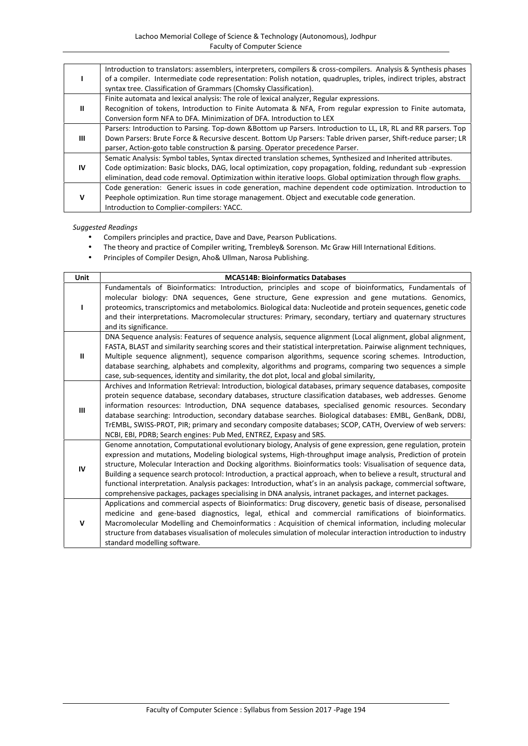|     | Introduction to translators: assemblers, interpreters, compilers & cross-compilers. Analysis & Synthesis phases   |
|-----|-------------------------------------------------------------------------------------------------------------------|
|     | of a compiler. Intermediate code representation: Polish notation, quadruples, triples, indirect triples, abstract |
|     | syntax tree. Classification of Grammars (Chomsky Classification).                                                 |
|     | Finite automata and lexical analysis: The role of lexical analyzer, Regular expressions.                          |
| Ш   | Recognition of tokens, Introduction to Finite Automata & NFA, From regular expression to Finite automata,         |
|     | Conversion form NFA to DFA. Minimization of DFA. Introduction to LEX                                              |
|     | Parsers: Introduction to Parsing. Top-down &Bottom up Parsers. Introduction to LL, LR, RL and RR parsers. Top     |
| Ш   | Down Parsers: Brute Force & Recursive descent. Bottom Up Parsers: Table driven parser, Shift-reduce parser; LR    |
|     | parser, Action-goto table construction & parsing. Operator precedence Parser.                                     |
|     | Sematic Analysis: Symbol tables, Syntax directed translation schemes, Synthesized and Inherited attributes.       |
| IV. | Code optimization: Basic blocks, DAG, local optimization, copy propagation, folding, redundant sub -expression    |
|     | elimination, dead code removal. Optimization within iterative loops. Global optimization through flow graphs.     |
|     | Code generation: Generic issues in code generation, machine dependent code optimization. Introduction to          |
| v   | Peephole optimization. Run time storage management. Object and executable code generation.                        |
|     | Introduction to Complier-compilers: YACC.                                                                         |

- Compilers principles and practice, Dave and Dave, Pearson Publications.
- The theory and practice of Compiler writing, Trembley& Sorenson. Mc Graw Hill International Editions.
- Principles of Compiler Design, Aho& Ullman, Narosa Publishing.

| <b>Unit</b>    | <b>MCA514B: Bioinformatics Databases</b>                                                                                                                                                                                                                                                                                                                                                                                                                                                                                                                                                                                                                                                           |
|----------------|----------------------------------------------------------------------------------------------------------------------------------------------------------------------------------------------------------------------------------------------------------------------------------------------------------------------------------------------------------------------------------------------------------------------------------------------------------------------------------------------------------------------------------------------------------------------------------------------------------------------------------------------------------------------------------------------------|
| ı              | Fundamentals of Bioinformatics: Introduction, principles and scope of bioinformatics, Fundamentals of<br>molecular biology: DNA sequences, Gene structure, Gene expression and gene mutations. Genomics,<br>proteomics, transcriptomics and metabolomics. Biological data: Nucleotide and protein sequences, genetic code<br>and their interpretations. Macromolecular structures: Primary, secondary, tertiary and quaternary structures<br>and its significance.                                                                                                                                                                                                                                 |
| ш              | DNA Sequence analysis: Features of sequence analysis, sequence alignment (Local alignment, global alignment,<br>FASTA, BLAST and similarity searching scores and their statistical interpretation. Pairwise alignment techniques,<br>Multiple sequence alignment), sequence comparison algorithms, sequence scoring schemes. Introduction,<br>database searching, alphabets and complexity, algorithms and programs, comparing two sequences a simple<br>case, sub-sequences, identity and similarity, the dot plot, local and global similarity,                                                                                                                                                  |
| $\mathbf{III}$ | Archives and Information Retrieval: Introduction, biological databases, primary sequence databases, composite<br>protein sequence database, secondary databases, structure classification databases, web addresses. Genome<br>information resources: Introduction, DNA sequence databases, specialised genomic resources. Secondary<br>database searching: Introduction, secondary database searches. Biological databases: EMBL, GenBank, DDBJ,<br>TrEMBL, SWISS-PROT, PIR; primary and secondary composite databases; SCOP, CATH, Overview of web servers:<br>NCBI, EBI, PDRB; Search engines: Pub Med, ENTREZ, Expasy and SRS.                                                                  |
| IV             | Genome annotation, Computational evolutionary biology, Analysis of gene expression, gene regulation, protein<br>expression and mutations, Modeling biological systems, High-throughput image analysis, Prediction of protein<br>structure, Molecular Interaction and Docking algorithms. Bioinformatics tools: Visualisation of sequence data,<br>Building a sequence search protocol: Introduction, a practical approach, when to believe a result, structural and<br>functional interpretation. Analysis packages: Introduction, what's in an analysis package, commercial software,<br>comprehensive packages, packages specialising in DNA analysis, intranet packages, and internet packages. |
| v              | Applications and commercial aspects of Bioinformatics: Drug discovery, genetic basis of disease, personalised<br>medicine and gene-based diagnostics, legal, ethical and commercial ramifications of bioinformatics.<br>Macromolecular Modelling and Chemoinformatics : Acquisition of chemical information, including molecular<br>structure from databases visualisation of molecules simulation of molecular interaction introduction to industry<br>standard modelling software.                                                                                                                                                                                                               |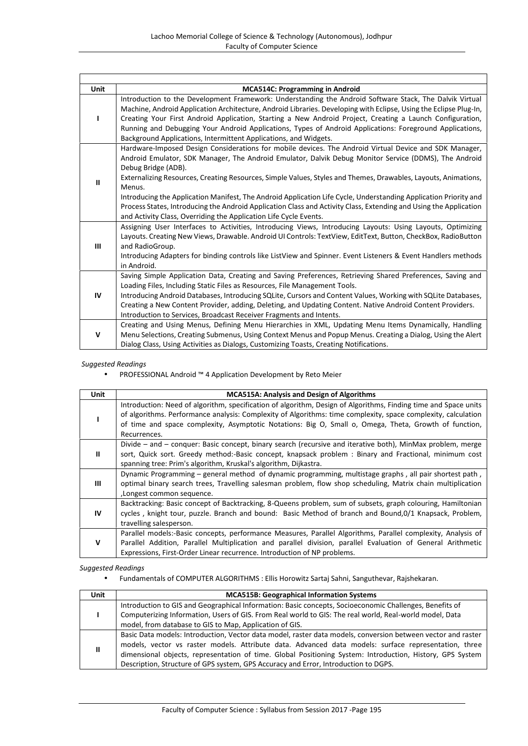| Unit         | <b>MCA514C: Programming in Android</b>                                                                            |
|--------------|-------------------------------------------------------------------------------------------------------------------|
|              | Introduction to the Development Framework: Understanding the Android Software Stack, The Dalvik Virtual           |
|              | Machine, Android Application Architecture, Android Libraries. Developing with Eclipse, Using the Eclipse Plug-In, |
|              | Creating Your First Android Application, Starting a New Android Project, Creating a Launch Configuration,         |
|              | Running and Debugging Your Android Applications, Types of Android Applications: Foreground Applications,          |
|              | Background Applications, Intermittent Applications, and Widgets.                                                  |
| ш            | Hardware-Imposed Design Considerations for mobile devices. The Android Virtual Device and SDK Manager,            |
|              | Android Emulator, SDK Manager, The Android Emulator, Dalvik Debug Monitor Service (DDMS), The Android             |
|              | Debug Bridge (ADB).                                                                                               |
|              | Externalizing Resources, Creating Resources, Simple Values, Styles and Themes, Drawables, Layouts, Animations,    |
|              | Menus.                                                                                                            |
|              | Introducing the Application Manifest, The Android Application Life Cycle, Understanding Application Priority and  |
|              | Process States, Introducing the Android Application Class and Activity Class, Extending and Using the Application |
|              | and Activity Class, Overriding the Application Life Cycle Events.                                                 |
|              | Assigning User Interfaces to Activities, Introducing Views, Introducing Layouts: Using Layouts, Optimizing        |
|              | Layouts. Creating New Views, Drawable. Android UI Controls: TextView, EditText, Button, CheckBox, RadioButton     |
| Ш            | and RadioGroup.                                                                                                   |
|              | Introducing Adapters for binding controls like ListView and Spinner. Event Listeners & Event Handlers methods     |
|              | in Android.                                                                                                       |
|              | Saving Simple Application Data, Creating and Saving Preferences, Retrieving Shared Preferences, Saving and        |
|              | Loading Files, Including Static Files as Resources, File Management Tools.                                        |
| IV           | Introducing Android Databases, Introducing SQLite, Cursors and Content Values, Working with SQLite Databases,     |
|              | Creating a New Content Provider, adding, Deleting, and Updating Content. Native Android Content Providers.        |
|              | Introduction to Services, Broadcast Receiver Fragments and Intents.                                               |
| $\mathsf{v}$ | Creating and Using Menus, Defining Menu Hierarchies in XML, Updating Menu Items Dynamically, Handling             |
|              | Menu Selections, Creating Submenus, Using Context Menus and Popup Menus. Creating a Dialog, Using the Alert       |
|              | Dialog Class, Using Activities as Dialogs, Customizing Toasts, Creating Notifications.                            |

PROFESSIONAL Android ™ 4 Application Development by Reto Meier

| <b>Unit</b>  | <b>MCA515A: Analysis and Design of Algorithms</b>                                                                                                                                                                                                                                                                                                         |
|--------------|-----------------------------------------------------------------------------------------------------------------------------------------------------------------------------------------------------------------------------------------------------------------------------------------------------------------------------------------------------------|
|              | Introduction: Need of algorithm, specification of algorithm, Design of Algorithms, Finding time and Space units<br>of algorithms. Performance analysis: Complexity of Algorithms: time complexity, space complexity, calculation<br>of time and space complexity, Asymptotic Notations: Big O, Small o, Omega, Theta, Growth of function,<br>Recurrences. |
| $\mathbf{I}$ | Divide – and – conquer: Basic concept, binary search (recursive and iterative both), MinMax problem, merge<br>sort, Quick sort. Greedy method:-Basic concept, knapsack problem : Binary and Fractional, minimum cost<br>spanning tree: Prim's algorithm, Kruskal's algorithm, Dijkastra.                                                                  |
| Ш            | Dynamic Programming - general method of dynamic programming, multistage graphs, all pair shortest path,<br>optimal binary search trees, Travelling salesman problem, flow shop scheduling, Matrix chain multiplication<br>, Longest common sequence.                                                                                                      |
| IV           | Backtracking: Basic concept of Backtracking, 8-Queens problem, sum of subsets, graph colouring, Hamiltonian<br>cycles, knight tour, puzzle. Branch and bound: Basic Method of branch and Bound, 0/1 Knapsack, Problem,<br>travelling salesperson.                                                                                                         |
| $\mathbf v$  | Parallel models:-Basic concepts, performance Measures, Parallel Algorithms, Parallel complexity, Analysis of<br>Parallel Addition, Parallel Multiplication and parallel division, parallel Evaluation of General Arithmetic<br>Expressions, First-Order Linear recurrence. Introduction of NP problems.                                                   |

*Suggested Readings*

Fundamentals of COMPUTER ALGORITHMS : Ellis Horowitz Sartaj Sahni, Sanguthevar, Rajshekaran.

| Unit | <b>MCA515B: Geographical Information Systems</b>                                                             |  |  |
|------|--------------------------------------------------------------------------------------------------------------|--|--|
|      | Introduction to GIS and Geographical Information: Basic concepts, Socioeconomic Challenges, Benefits of      |  |  |
|      | Computerizing Information, Users of GIS. From Real world to GIS: The real world, Real-world model, Data      |  |  |
|      | model, from database to GIS to Map, Application of GIS.                                                      |  |  |
| Ш    | Basic Data models: Introduction, Vector data model, raster data models, conversion between vector and raster |  |  |
|      | models, vector vs raster models. Attribute data. Advanced data models: surface representation, three         |  |  |
|      | dimensional objects, representation of time. Global Positioning System: Introduction, History, GPS System    |  |  |
|      | Description, Structure of GPS system, GPS Accuracy and Error, Introduction to DGPS.                          |  |  |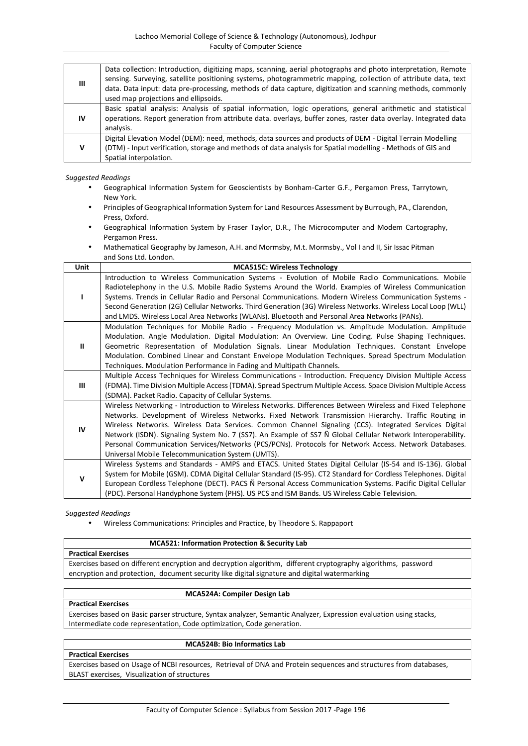| Ш  | Data collection: Introduction, digitizing maps, scanning, aerial photographs and photo interpretation, Remote<br>sensing. Surveying, satellite positioning systems, photogrammetric mapping, collection of attribute data, text<br>data. Data input: data pre-processing, methods of data capture, digitization and scanning methods, commonly<br>used map projections and ellipsoids. |  |  |  |  |  |
|----|----------------------------------------------------------------------------------------------------------------------------------------------------------------------------------------------------------------------------------------------------------------------------------------------------------------------------------------------------------------------------------------|--|--|--|--|--|
| ΙV | Basic spatial analysis: Analysis of spatial information, logic operations, general arithmetic and statistical<br>operations. Report generation from attribute data, overlays, buffer zones, raster data overlay. Integrated data<br>analysis.                                                                                                                                          |  |  |  |  |  |
| v  | Digital Elevation Model (DEM): need, methods, data sources and products of DEM - Digital Terrain Modelling<br>(DTM) - Input verification, storage and methods of data analysis for Spatial modelling - Methods of GIS and<br>Spatial interpolation.                                                                                                                                    |  |  |  |  |  |

- Geographical Information System for Geoscientists by Bonham-Carter G.F., Pergamon Press, Tarrytown, New York.
- Principles of Geographical Information System for Land Resources Assessment by Burrough, PA., Clarendon, Press, Oxford.
- Geographical Information System by Fraser Taylor, D.R., The Microcomputer and Modem Cartography, Pergamon Press.
- Mathematical Geography by Jameson, A.H. and Mormsby, M.t. Mormsby., Vol I and II, Sir Issac Pitman and Sons Ltd. London.

| Unit        | <b>MCA515C: Wireless Technology</b>                                                                                                                                                                                                                                                                                                                                                                                                                                                                                                                                                                      |  |  |  |  |
|-------------|----------------------------------------------------------------------------------------------------------------------------------------------------------------------------------------------------------------------------------------------------------------------------------------------------------------------------------------------------------------------------------------------------------------------------------------------------------------------------------------------------------------------------------------------------------------------------------------------------------|--|--|--|--|
|             | Introduction to Wireless Communication Systems - Evolution of Mobile Radio Communications. Mobile<br>Radiotelephony in the U.S. Mobile Radio Systems Around the World. Examples of Wireless Communication<br>Systems. Trends in Cellular Radio and Personal Communications. Modern Wireless Communication Systems -<br>Second Generation (2G) Cellular Networks. Third Generation (3G) Wireless Networks. Wireless Local Loop (WLL)<br>and LMDS. Wireless Local Area Networks (WLANs). Bluetooth and Personal Area Networks (PANs).                                                                      |  |  |  |  |
| Ш           | Modulation Techniques for Mobile Radio - Frequency Modulation vs. Amplitude Modulation. Amplitude<br>Modulation. Angle Modulation. Digital Modulation: An Overview. Line Coding. Pulse Shaping Techniques.<br>Geometric Representation of Modulation Signals. Linear Modulation Techniques. Constant Envelope<br>Modulation. Combined Linear and Constant Envelope Modulation Techniques. Spread Spectrum Modulation<br>Techniques. Modulation Performance in Fading and Multipath Channels.                                                                                                             |  |  |  |  |
| Ш           | Multiple Access Techniques for Wireless Communications - Introduction. Frequency Division Multiple Access<br>(FDMA). Time Division Multiple Access (TDMA). Spread Spectrum Multiple Access. Space Division Multiple Access<br>(SDMA). Packet Radio. Capacity of Cellular Systems.                                                                                                                                                                                                                                                                                                                        |  |  |  |  |
| IV          | Wireless Networking - Introduction to Wireless Networks. Differences Between Wireless and Fixed Telephone<br>Networks. Development of Wireless Networks. Fixed Network Transmission Hierarchy. Traffic Routing in<br>Wireless Networks. Wireless Data Services. Common Channel Signaling (CCS). Integrated Services Digital<br>Network (ISDN). Signaling System No. 7 (SS7). An Example of SS7 Ñ Global Cellular Network Interoperability.<br>Personal Communication Services/Networks (PCS/PCNs). Protocols for Network Access. Network Databases.<br>Universal Mobile Telecommunication System (UMTS). |  |  |  |  |
| $\mathbf v$ | Wireless Systems and Standards - AMPS and ETACS. United States Digital Cellular (IS-54 and IS-136). Global<br>System for Mobile (GSM). CDMA Digital Cellular Standard (IS-95). CT2 Standard for Cordless Telephones. Digital<br>European Cordless Telephone (DECT). PACS Ñ Personal Access Communication Systems. Pacific Digital Cellular<br>(PDC). Personal Handyphone System (PHS). US PCS and ISM Bands. US Wireless Cable Television.                                                                                                                                                               |  |  |  |  |

*Suggested Readings*

Wireless Communications: Principles and Practice, by Theodore S. Rappaport

#### **MCA521: Information Protection & Security Lab**

**Practical Exercises**

**Practical Exercises**

**Practical Exercises**

Exercises based on different encryption and decryption algorithm, different cryptography algorithms, password encryption and protection, document security like digital signature and digital watermarking

## **MCA524A: Compiler Design Lab**

Exercises based on Basic parser structure, Syntax analyzer, Semantic Analyzer, Expression evaluation using stacks, Intermediate code representation, Code optimization, Code generation.

## **MCA524B: Bio Informatics Lab**

Exercises based on Usage of NCBI resources, Retrieval of DNA and Protein sequences and structures from databases, BLAST exercises, Visualization of structures